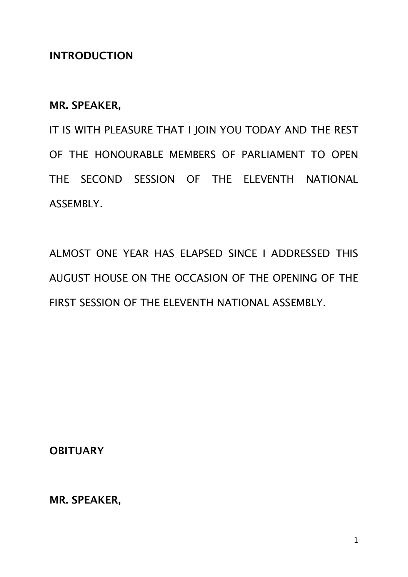## **INTRODUCTION**

## **MR. SPEAKER,**

IT IS WITH PLEASURE THAT I JOIN YOU TODAY AND THE REST OF THE HONOURABLE MEMBERS OF PARLIAMENT TO OPEN THE SECOND SESSION OF THE ELEVENTH NATIONAL ASSEMBLY.

ALMOST ONE YEAR HAS ELAPSED SINCE I ADDRESSED THIS AUGUST HOUSE ON THE OCCASION OF THE OPENING OF THE FIRST SESSION OF THE ELEVENTH NATIONAL ASSEMBLY.

**OBITUARY**

**MR. SPEAKER,**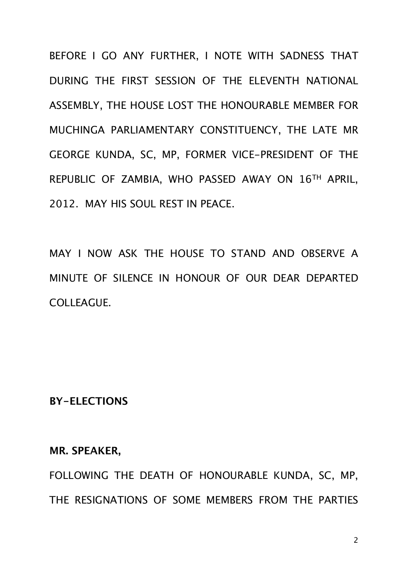BEFORE I GO ANY FURTHER, I NOTE WITH SADNESS THAT DURING THE FIRST SESSION OF THE ELEVENTH NATIONAL ASSEMBLY, THE HOUSE LOST THE HONOURABLE MEMBER FOR MUCHINGA PARLIAMENTARY CONSTITUENCY, THE LATE MR GEORGE KUNDA, SC, MP, FORMER VICE-PRESIDENT OF THE REPUBLIC OF ZAMBIA, WHO PASSED AWAY ON 16TH APRIL, 2012. MAY HIS SOUL REST IN PEACE.

MAY I NOW ASK THE HOUSE TO STAND AND OBSERVE A MINUTE OF SILENCE IN HONOUR OF OUR DEAR DEPARTED COLLEAGUE.

## **BY-ELECTIONS**

#### **MR. SPEAKER,**

FOLLOWING THE DEATH OF HONOURABLE KUNDA, SC, MP, THE RESIGNATIONS OF SOME MEMBERS FROM THE PARTIES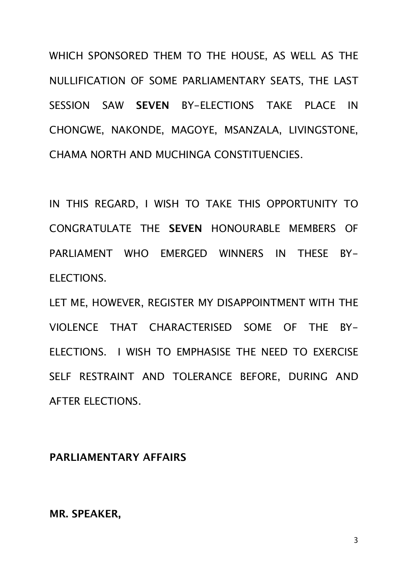WHICH SPONSORED THEM TO THE HOUSE, AS WELL AS THE NULLIFICATION OF SOME PARLIAMENTARY SEATS, THE LAST SESSION SAW **SEVEN** BY-ELECTIONS TAKE PLACE IN CHONGWE, NAKONDE, MAGOYE, MSANZALA, LIVINGSTONE, CHAMA NORTH AND MUCHINGA CONSTITUENCIES.

IN THIS REGARD, I WISH TO TAKE THIS OPPORTUNITY TO CONGRATULATE THE **SEVEN** HONOURABLE MEMBERS OF PARLIAMENT WHO EMERGED WINNERS IN THESE BY-ELECTIONS.

LET ME, HOWEVER, REGISTER MY DISAPPOINTMENT WITH THE VIOLENCE THAT CHARACTERISED SOME OF THE BY-ELECTIONS. I WISH TO EMPHASISE THE NEED TO EXERCISE SELF RESTRAINT AND TOLERANCE BEFORE, DURING AND AFTER ELECTIONS.

## **PARLIAMENTARY AFFAIRS**

**MR. SPEAKER,**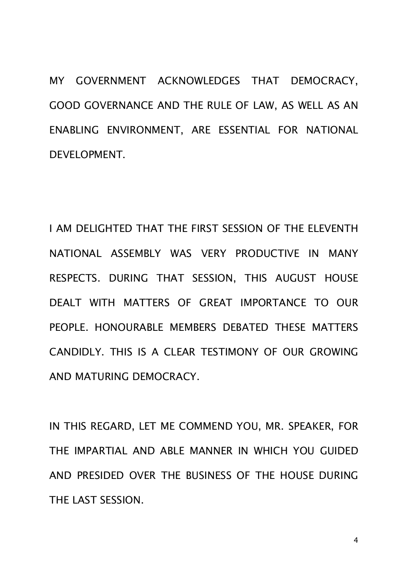MY GOVERNMENT ACKNOWLEDGES THAT DEMOCRACY, GOOD GOVERNANCE AND THE RULE OF LAW, AS WELL AS AN ENABLING ENVIRONMENT, ARE ESSENTIAL FOR NATIONAL DEVELOPMENT.

I AM DELIGHTED THAT THE FIRST SESSION OF THE ELEVENTH NATIONAL ASSEMBLY WAS VERY PRODUCTIVE IN MANY RESPECTS. DURING THAT SESSION, THIS AUGUST HOUSE DEALT WITH MATTERS OF GREAT IMPORTANCE TO OUR PEOPLE. HONOURABLE MEMBERS DEBATED THESE MATTERS CANDIDLY. THIS IS A CLEAR TESTIMONY OF OUR GROWING AND MATURING DEMOCRACY.

IN THIS REGARD, LET ME COMMEND YOU, MR. SPEAKER, FOR THE IMPARTIAL AND ABLE MANNER IN WHICH YOU GUIDED AND PRESIDED OVER THE BUSINESS OF THE HOUSE DURING THE LAST SESSION.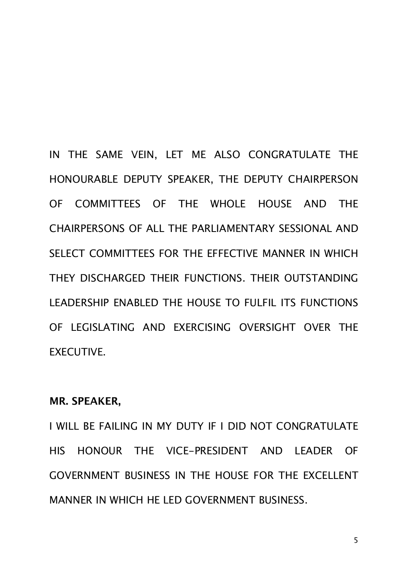IN THE SAME VEIN, LET ME ALSO CONGRATULATE THE HONOURABLE DEPUTY SPEAKER, THE DEPUTY CHAIRPERSON OF COMMITTEES OF THE WHOLE HOUSE AND THE CHAIRPERSONS OF ALL THE PARLIAMENTARY SESSIONAL AND SELECT COMMITTEES FOR THE EFFECTIVE MANNER IN WHICH THEY DISCHARGED THEIR FUNCTIONS. THEIR OUTSTANDING LEADERSHIP ENABLED THE HOUSE TO FULFIL ITS FUNCTIONS OF LEGISLATING AND EXERCISING OVERSIGHT OVER THE EXECUTIVE.

## **MR. SPEAKER,**

I WILL BE FAILING IN MY DUTY IF I DID NOT CONGRATULATE HIS HONOUR THE VICE-PRESIDENT AND LEADER OF GOVERNMENT BUSINESS IN THE HOUSE FOR THE EXCELLENT MANNER IN WHICH HE LED GOVERNMENT BUSINESS.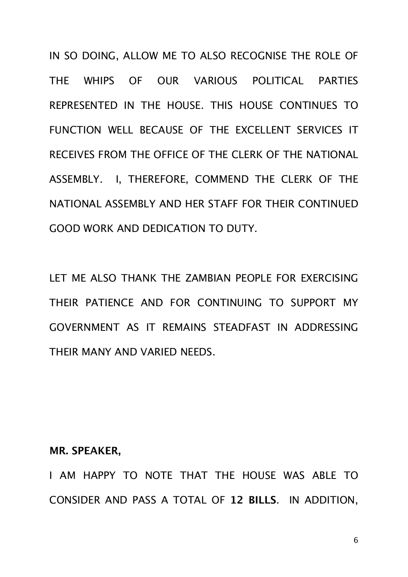IN SO DOING, ALLOW ME TO ALSO RECOGNISE THE ROLE OF THE WHIPS OF OUR VARIOUS POLITICAL PARTIES REPRESENTED IN THE HOUSE. THIS HOUSE CONTINUES TO FUNCTION WELL BECAUSE OF THE EXCELLENT SERVICES IT RECEIVES FROM THE OFFICE OF THE CLERK OF THE NATIONAL ASSEMBLY. I, THEREFORE, COMMEND THE CLERK OF THE NATIONAL ASSEMBLY AND HER STAFF FOR THEIR CONTINUED GOOD WORK AND DEDICATION TO DUTY.

LET ME ALSO THANK THE ZAMBIAN PEOPLE FOR EXERCISING THEIR PATIENCE AND FOR CONTINUING TO SUPPORT MY GOVERNMENT AS IT REMAINS STEADFAST IN ADDRESSING THEIR MANY AND VARIED NEEDS.

#### **MR. SPEAKER,**

I AM HAPPY TO NOTE THAT THE HOUSE WAS ABLE TO CONSIDER AND PASS A TOTAL OF **12 BILLS**. IN ADDITION,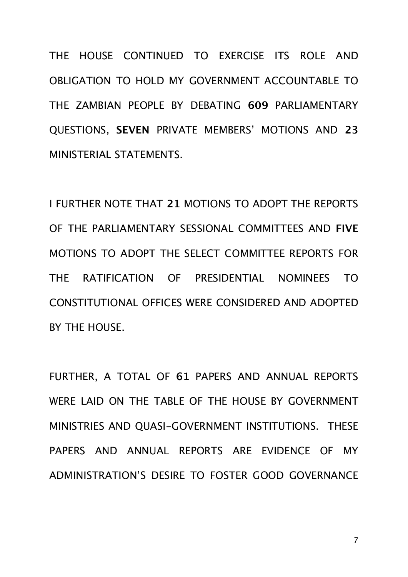THE HOUSE CONTINUED TO EXERCISE ITS ROLE AND OBLIGATION TO HOLD MY GOVERNMENT ACCOUNTABLE TO THE ZAMBIAN PEOPLE BY DEBATING **609** PARLIAMENTARY QUESTIONS, **SEVEN** PRIVATE MEMBERS' MOTIONS AND **23** MINISTERIAL STATEMENTS.

I FURTHER NOTE THAT **21** MOTIONS TO ADOPT THE REPORTS OF THE PARLIAMENTARY SESSIONAL COMMITTEES AND **FIVE** MOTIONS TO ADOPT THE SELECT COMMITTEE REPORTS FOR THE RATIFICATION OF PRESIDENTIAL NOMINEES TO CONSTITUTIONAL OFFICES WERE CONSIDERED AND ADOPTED BY THE HOUSE.

FURTHER, A TOTAL OF **61** PAPERS AND ANNUAL REPORTS WERE LAID ON THE TABLE OF THE HOUSE BY GOVERNMENT MINISTRIES AND QUASI-GOVERNMENT INSTITUTIONS. THESE PAPERS AND ANNUAL REPORTS ARE EVIDENCE OF MY ADMINISTRATION'S DESIRE TO FOSTER GOOD GOVERNANCE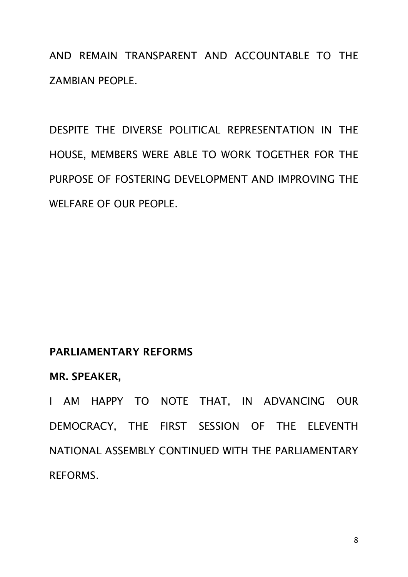AND REMAIN TRANSPARENT AND ACCOUNTABLE TO THE ZAMBIAN PEOPLE.

DESPITE THE DIVERSE POLITICAL REPRESENTATION IN THE HOUSE, MEMBERS WERE ABLE TO WORK TOGETHER FOR THE PURPOSE OF FOSTERING DEVELOPMENT AND IMPROVING THE WELFARE OF OUR PEOPLE.

## **PARLIAMENTARY REFORMS**

## **MR. SPEAKER,**

I AM HAPPY TO NOTE THAT, IN ADVANCING OUR DEMOCRACY, THE FIRST SESSION OF THE ELEVENTH NATIONAL ASSEMBLY CONTINUED WITH THE PARLIAMENTARY REFORMS.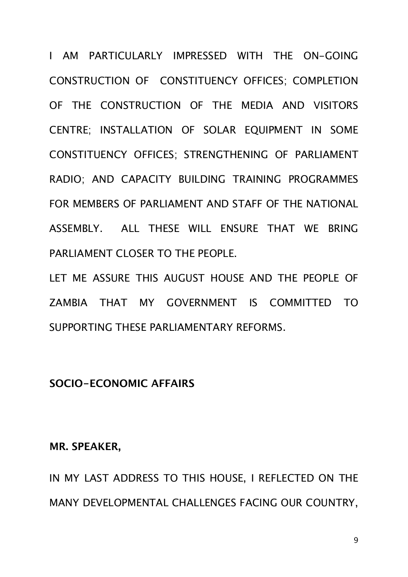I AM PARTICULARLY IMPRESSED WITH THE ON-GOING CONSTRUCTION OF CONSTITUENCY OFFICES; COMPLETION OF THE CONSTRUCTION OF THE MEDIA AND VISITORS CENTRE; INSTALLATION OF SOLAR EQUIPMENT IN SOME CONSTITUENCY OFFICES; STRENGTHENING OF PARLIAMENT RADIO; AND CAPACITY BUILDING TRAINING PROGRAMMES FOR MEMBERS OF PARLIAMENT AND STAFF OF THE NATIONAL ASSEMBLY. ALL THESE WILL ENSURE THAT WE BRING PARLIAMENT CLOSER TO THE PEOPLE.

LET ME ASSURE THIS AUGUST HOUSE AND THE PEOPLE OF ZAMBIA THAT MY GOVERNMENT IS COMMITTED TO SUPPORTING THESE PARLIAMENTARY REFORMS.

## **SOCIO-ECONOMIC AFFAIRS**

#### **MR. SPEAKER,**

IN MY LAST ADDRESS TO THIS HOUSE, I REFLECTED ON THE MANY DEVELOPMENTAL CHALLENGES FACING OUR COUNTRY,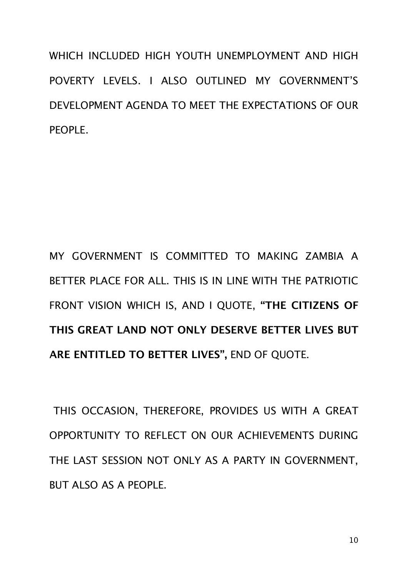WHICH INCLUDED HIGH YOUTH UNEMPLOYMENT AND HIGH POVERTY LEVELS. I ALSO OUTLINED MY GOVERNMENT'S DEVELOPMENT AGENDA TO MEET THE EXPECTATIONS OF OUR PEOPLE.

MY GOVERNMENT IS COMMITTED TO MAKING ZAMBIA A BETTER PLACE FOR ALL. THIS IS IN LINE WITH THE PATRIOTIC FRONT VISION WHICH IS, AND I QUOTE, **"THE CITIZENS OF THIS GREAT LAND NOT ONLY DESERVE BETTER LIVES BUT ARE ENTITLED TO BETTER LIVES",** END OF QUOTE.

 THIS OCCASION, THEREFORE, PROVIDES US WITH A GREAT OPPORTUNITY TO REFLECT ON OUR ACHIEVEMENTS DURING THE LAST SESSION NOT ONLY AS A PARTY IN GOVERNMENT, BUT ALSO AS A PEOPLE.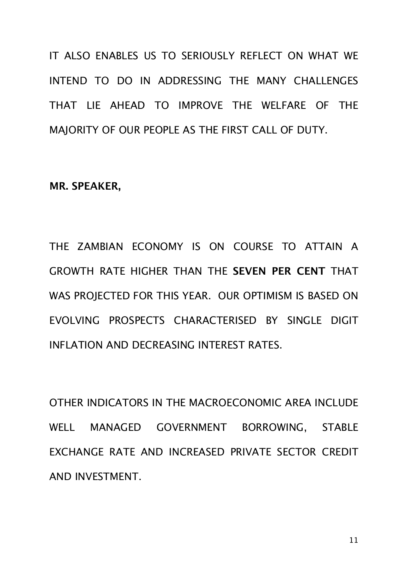IT ALSO ENABLES US TO SERIOUSLY REFLECT ON WHAT WE INTEND TO DO IN ADDRESSING THE MANY CHALLENGES THAT LIE AHEAD TO IMPROVE THE WELFARE OF THE MAJORITY OF OUR PEOPLE AS THE FIRST CALL OF DUTY.

#### **MR. SPEAKER,**

THE ZAMBIAN ECONOMY IS ON COURSE TO ATTAIN A GROWTH RATE HIGHER THAN THE **SEVEN PER CENT** THAT WAS PROJECTED FOR THIS YEAR. OUR OPTIMISM IS BASED ON EVOLVING PROSPECTS CHARACTERISED BY SINGLE DIGIT INFLATION AND DECREASING INTEREST RATES.

OTHER INDICATORS IN THE MACROECONOMIC AREA INCLUDE WELL MANAGED GOVERNMENT BORROWING, STABLE EXCHANGE RATE AND INCREASED PRIVATE SECTOR CREDIT AND INVESTMENT.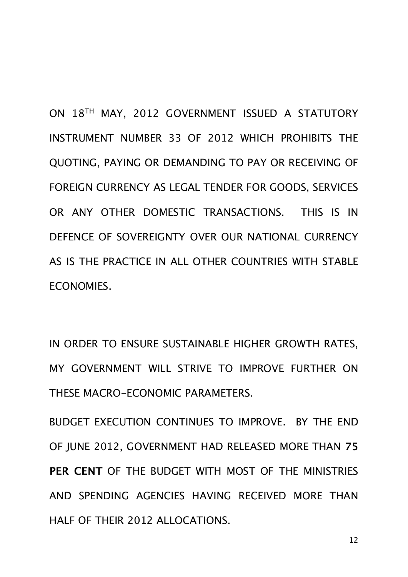ON 18TH MAY, 2012 GOVERNMENT ISSUED A STATUTORY INSTRUMENT NUMBER 33 OF 2012 WHICH PROHIBITS THE QUOTING, PAYING OR DEMANDING TO PAY OR RECEIVING OF FOREIGN CURRENCY AS LEGAL TENDER FOR GOODS, SERVICES OR ANY OTHER DOMESTIC TRANSACTIONS. THIS IS IN DEFENCE OF SOVEREIGNTY OVER OUR NATIONAL CURRENCY AS IS THE PRACTICE IN ALL OTHER COUNTRIES WITH STABLE ECONOMIES.

IN ORDER TO ENSURE SUSTAINABLE HIGHER GROWTH RATES, MY GOVERNMENT WILL STRIVE TO IMPROVE FURTHER ON THESE MACRO-ECONOMIC PARAMETERS.

BUDGET EXECUTION CONTINUES TO IMPROVE. BY THE END OF JUNE 2012, GOVERNMENT HAD RELEASED MORE THAN **75 PER CENT** OF THE BUDGET WITH MOST OF THE MINISTRIES AND SPENDING AGENCIES HAVING RECEIVED MORE THAN HALF OF THEIR 2012 ALLOCATIONS.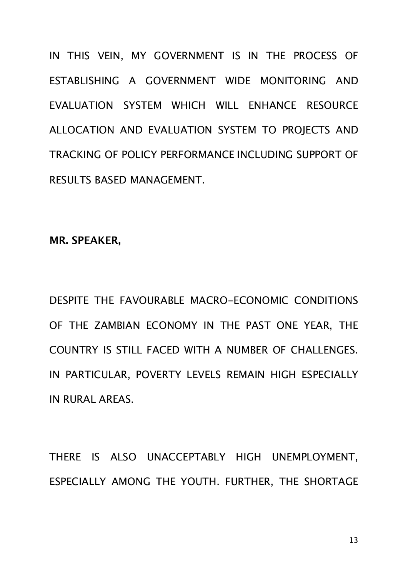IN THIS VEIN, MY GOVERNMENT IS IN THE PROCESS OF ESTABLISHING A GOVERNMENT WIDE MONITORING AND EVALUATION SYSTEM WHICH WILL ENHANCE RESOURCE ALLOCATION AND EVALUATION SYSTEM TO PROJECTS AND TRACKING OF POLICY PERFORMANCE INCLUDING SUPPORT OF RESULTS BASED MANAGEMENT.

**MR. SPEAKER,**

DESPITE THE FAVOURABLE MACRO-ECONOMIC CONDITIONS OF THE ZAMBIAN ECONOMY IN THE PAST ONE YEAR, THE COUNTRY IS STILL FACED WITH A NUMBER OF CHALLENGES. IN PARTICULAR, POVERTY LEVELS REMAIN HIGH ESPECIALLY IN RURAL AREAS.

THERE IS ALSO UNACCEPTABLY HIGH UNEMPLOYMENT, ESPECIALLY AMONG THE YOUTH. FURTHER, THE SHORTAGE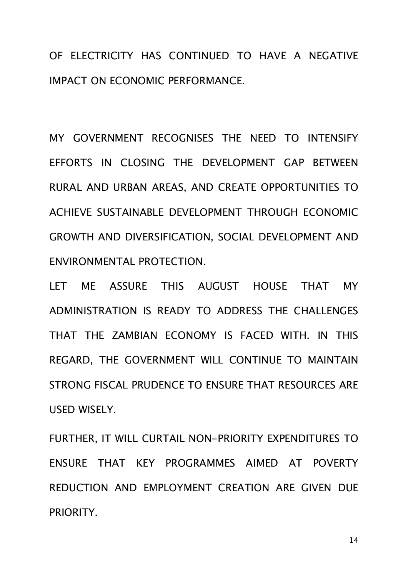OF ELECTRICITY HAS CONTINUED TO HAVE A NEGATIVE IMPACT ON ECONOMIC PERFORMANCE.

MY GOVERNMENT RECOGNISES THE NEED TO INTENSIFY EFFORTS IN CLOSING THE DEVELOPMENT GAP BETWEEN RURAL AND URBAN AREAS, AND CREATE OPPORTUNITIES TO ACHIEVE SUSTAINABLE DEVELOPMENT THROUGH ECONOMIC GROWTH AND DIVERSIFICATION, SOCIAL DEVELOPMENT AND ENVIRONMENTAL PROTECTION.

LET ME ASSURE THIS AUGUST HOUSE THAT MY ADMINISTRATION IS READY TO ADDRESS THE CHALLENGES THAT THE ZAMBIAN ECONOMY IS FACED WITH. IN THIS REGARD, THE GOVERNMENT WILL CONTINUE TO MAINTAIN STRONG FISCAL PRUDENCE TO ENSURE THAT RESOURCES ARE USED WISELY.

FURTHER, IT WILL CURTAIL NON-PRIORITY EXPENDITURES TO ENSURE THAT KEY PROGRAMMES AIMED AT POVERTY REDUCTION AND EMPLOYMENT CREATION ARE GIVEN DUE PRIORITY.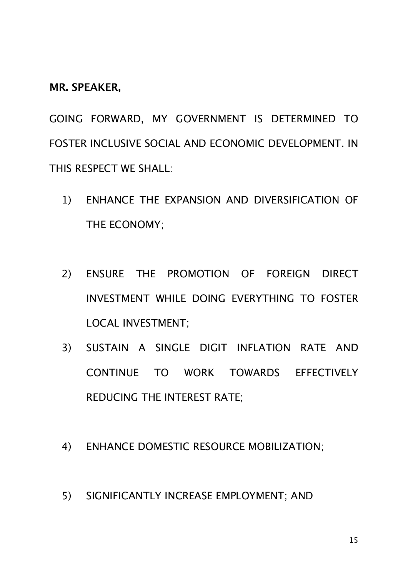**MR. SPEAKER,**

GOING FORWARD, MY GOVERNMENT IS DETERMINED TO FOSTER INCLUSIVE SOCIAL AND ECONOMIC DEVELOPMENT. IN THIS RESPECT WE SHALL:

- 1) ENHANCE THE EXPANSION AND DIVERSIFICATION OF THE ECONOMY;
- 2) ENSURE THE PROMOTION OF FOREIGN DIRECT INVESTMENT WHILE DOING EVERYTHING TO FOSTER LOCAL INVESTMENT;
- 3) SUSTAIN A SINGLE DIGIT INFLATION RATE AND CONTINUE TO WORK TOWARDS EFFECTIVELY REDUCING THE INTEREST RATE;
- 4) ENHANCE DOMESTIC RESOURCE MOBILIZATION;
- 5) SIGNIFICANTLY INCREASE EMPLOYMENT; AND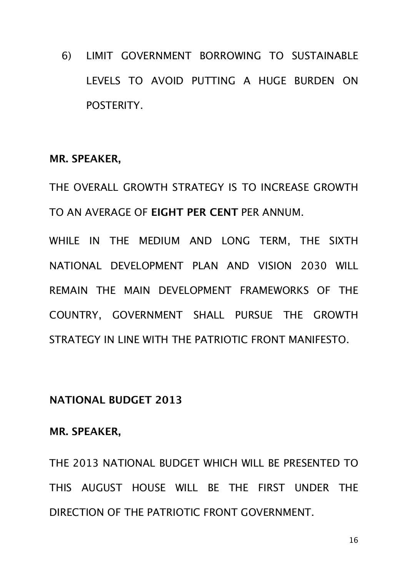6) LIMIT GOVERNMENT BORROWING TO SUSTAINABLE LEVELS TO AVOID PUTTING A HUGE BURDEN ON POSTERITY.

#### **MR. SPEAKER,**

THE OVERALL GROWTH STRATEGY IS TO INCREASE GROWTH TO AN AVERAGE OF **EIGHT PER CENT** PER ANNUM.

WHILE IN THE MEDIUM AND LONG TERM, THE SIXTH NATIONAL DEVELOPMENT PLAN AND VISION 2030 WILL REMAIN THE MAIN DEVELOPMENT FRAMEWORKS OF THE COUNTRY, GOVERNMENT SHALL PURSUE THE GROWTH STRATEGY IN LINE WITH THE PATRIOTIC FRONT MANIFESTO.

## **NATIONAL BUDGET 2013**

## **MR. SPEAKER,**

THE 2013 NATIONAL BUDGET WHICH WILL BE PRESENTED TO THIS AUGUST HOUSE WILL BE THE FIRST UNDER THE DIRECTION OF THE PATRIOTIC FRONT GOVERNMENT.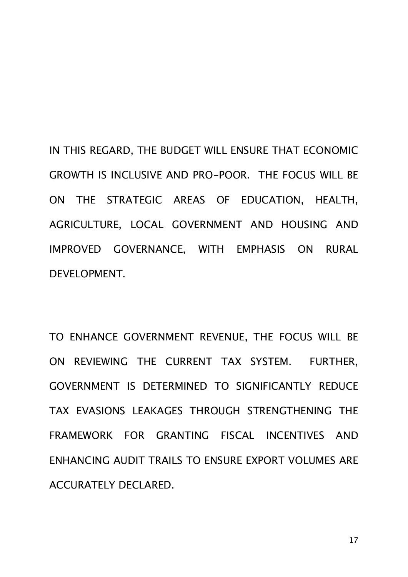IN THIS REGARD, THE BUDGET WILL ENSURE THAT ECONOMIC GROWTH IS INCLUSIVE AND PRO-POOR. THE FOCUS WILL BE ON THE STRATEGIC AREAS OF EDUCATION, HEALTH, AGRICULTURE, LOCAL GOVERNMENT AND HOUSING AND IMPROVED GOVERNANCE, WITH EMPHASIS ON RURAL DEVELOPMENT.

TO ENHANCE GOVERNMENT REVENUE, THE FOCUS WILL BE ON REVIEWING THE CURRENT TAX SYSTEM. FURTHER, GOVERNMENT IS DETERMINED TO SIGNIFICANTLY REDUCE TAX EVASIONS LEAKAGES THROUGH STRENGTHENING THE FRAMEWORK FOR GRANTING FISCAL INCENTIVES AND ENHANCING AUDIT TRAILS TO ENSURE EXPORT VOLUMES ARE ACCURATELY DECLARED.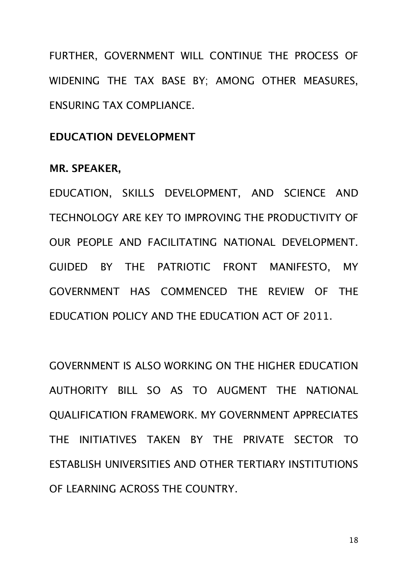FURTHER, GOVERNMENT WILL CONTINUE THE PROCESS OF WIDENING THE TAX BASE BY; AMONG OTHER MEASURES, ENSURING TAX COMPLIANCE.

## **EDUCATION DEVELOPMENT**

#### **MR. SPEAKER,**

EDUCATION, SKILLS DEVELOPMENT, AND SCIENCE AND TECHNOLOGY ARE KEY TO IMPROVING THE PRODUCTIVITY OF OUR PEOPLE AND FACILITATING NATIONAL DEVELOPMENT. GUIDED BY THE PATRIOTIC FRONT MANIFESTO, MY GOVERNMENT HAS COMMENCED THE REVIEW OF THE EDUCATION POLICY AND THE EDUCATION ACT OF 2011.

GOVERNMENT IS ALSO WORKING ON THE HIGHER EDUCATION AUTHORITY BILL SO AS TO AUGMENT THE NATIONAL QUALIFICATION FRAMEWORK. MY GOVERNMENT APPRECIATES THE INITIATIVES TAKEN BY THE PRIVATE SECTOR TO ESTABLISH UNIVERSITIES AND OTHER TERTIARY INSTITUTIONS OF LEARNING ACROSS THE COUNTRY.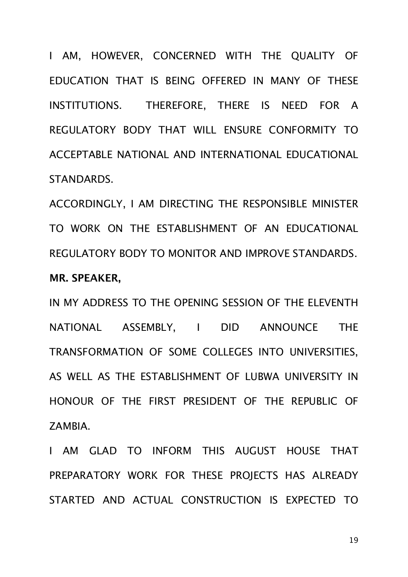I AM, HOWEVER, CONCERNED WITH THE QUALITY OF EDUCATION THAT IS BEING OFFERED IN MANY OF THESE INSTITUTIONS. THEREFORE, THERE IS NEED FOR A REGULATORY BODY THAT WILL ENSURE CONFORMITY TO ACCEPTABLE NATIONAL AND INTERNATIONAL EDUCATIONAL STANDARDS.

ACCORDINGLY, I AM DIRECTING THE RESPONSIBLE MINISTER TO WORK ON THE ESTABLISHMENT OF AN EDUCATIONAL REGULATORY BODY TO MONITOR AND IMPROVE STANDARDS. **MR. SPEAKER,**

IN MY ADDRESS TO THE OPENING SESSION OF THE ELEVENTH NATIONAL ASSEMBLY, I DID ANNOUNCE THE TRANSFORMATION OF SOME COLLEGES INTO UNIVERSITIES, AS WELL AS THE ESTABLISHMENT OF LUBWA UNIVERSITY IN HONOUR OF THE FIRST PRESIDENT OF THE REPUBLIC OF ZAMBIA.

I AM GLAD TO INFORM THIS AUGUST HOUSE THAT PREPARATORY WORK FOR THESE PROJECTS HAS ALREADY STARTED AND ACTUAL CONSTRUCTION IS EXPECTED TO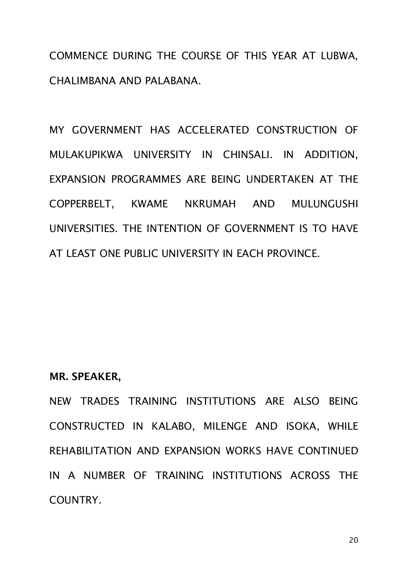COMMENCE DURING THE COURSE OF THIS YEAR AT LUBWA, CHALIMBANA AND PALABANA.

MY GOVERNMENT HAS ACCELERATED CONSTRUCTION OF MULAKUPIKWA UNIVERSITY IN CHINSALI. IN ADDITION, EXPANSION PROGRAMMES ARE BEING UNDERTAKEN AT THE COPPERBELT, KWAME NKRUMAH AND MULUNGUSHI UNIVERSITIES. THE INTENTION OF GOVERNMENT IS TO HAVE AT LEAST ONE PUBLIC UNIVERSITY IN EACH PROVINCE.

#### **MR. SPEAKER,**

NEW TRADES TRAINING INSTITUTIONS ARE ALSO BEING CONSTRUCTED IN KALABO, MILENGE AND ISOKA, WHILE REHABILITATION AND EXPANSION WORKS HAVE CONTINUED IN A NUMBER OF TRAINING INSTITUTIONS ACROSS THE COUNTRY.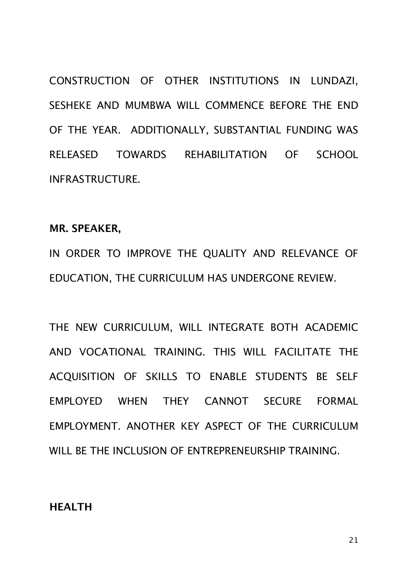CONSTRUCTION OF OTHER INSTITUTIONS IN LUNDAZI, SESHEKE AND MUMBWA WILL COMMENCE BEFORE THE END OF THE YEAR. ADDITIONALLY, SUBSTANTIAL FUNDING WAS RELEASED TOWARDS REHABILITATION OF SCHOOL INFRASTRUCTURE.

## **MR. SPEAKER,**

IN ORDER TO IMPROVE THE QUALITY AND RELEVANCE OF EDUCATION, THE CURRICULUM HAS UNDERGONE REVIEW.

THE NEW CURRICULUM, WILL INTEGRATE BOTH ACADEMIC AND VOCATIONAL TRAINING. THIS WILL FACILITATE THE ACQUISITION OF SKILLS TO ENABLE STUDENTS BE SELF EMPLOYED WHEN THEY CANNOT SECURE FORMAL EMPLOYMENT. ANOTHER KEY ASPECT OF THE CURRICULUM WILL BE THE INCLUSION OF ENTREPRENEURSHIP TRAINING.

## **HEALTH**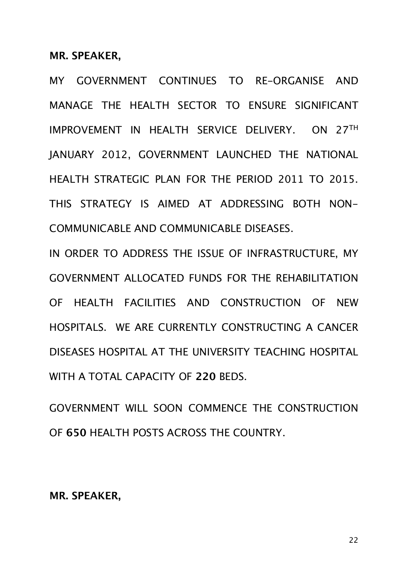**MR. SPEAKER,**

MY GOVERNMENT CONTINUES TO RE-ORGANISE AND MANAGE THE HEALTH SECTOR TO ENSURE SIGNIFICANT IMPROVEMENT IN HEALTH SERVICE DELIVERY. ON 27TH JANUARY 2012, GOVERNMENT LAUNCHED THE NATIONAL HEALTH STRATEGIC PLAN FOR THE PERIOD 2011 TO 2015. THIS STRATEGY IS AIMED AT ADDRESSING BOTH NON-COMMUNICABLE AND COMMUNICABLE DISEASES.

IN ORDER TO ADDRESS THE ISSUE OF INFRASTRUCTURE, MY GOVERNMENT ALLOCATED FUNDS FOR THE REHABILITATION OF HEALTH FACILITIES AND CONSTRUCTION OF NEW HOSPITALS. WE ARE CURRENTLY CONSTRUCTING A CANCER DISEASES HOSPITAL AT THE UNIVERSITY TEACHING HOSPITAL WITH A TOTAL CAPACITY OF **220** BEDS.

GOVERNMENT WILL SOON COMMENCE THE CONSTRUCTION OF **650** HEALTH POSTS ACROSS THE COUNTRY.

**MR. SPEAKER,**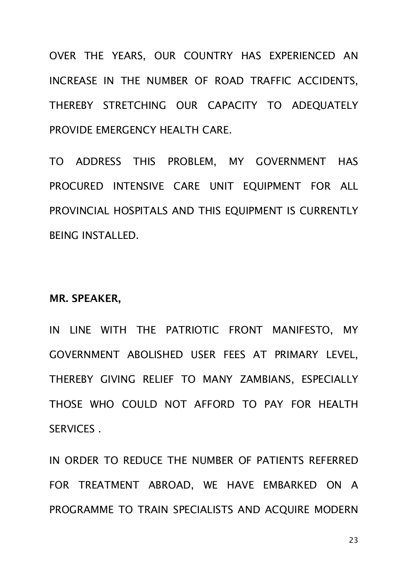OVER THE YEARS, OUR COUNTRY HAS EXPERIENCED AN INCREASE IN THE NUMBER OF ROAD TRAFFIC ACCIDENTS, THEREBY STRETCHING OUR CAPACITY TO ADEQUATELY PROVIDE EMERGENCY HEALTH CARE.

TO ADDRESS THIS PROBLEM, MY GOVERNMENT HAS PROCURED INTENSIVE CARE UNIT EOUIPMENT FOR ALL PROVINCIAL HOSPITALS AND THIS EQUIPMENT IS CURRENTLY BEING INSTALLED.

#### **MR. SPEAKER,**

IN LINE WITH THE PATRIOTIC FRONT MANIFESTO, MY GOVERNMENT ABOLISHED USER FEES AT PRIMARY LEVEL, THEREBY GIVING RELIEF TO MANY ZAMBIANS, ESPECIALLY THOSE WHO COULD NOT AFFORD TO PAY FOR HEALTH SERVICES .

IN ORDER TO REDUCE THE NUMBER OF PATIENTS REFERRED FOR TREATMENT ABROAD, WE HAVE EMBARKED ON A PROGRAMME TO TRAIN SPECIALISTS AND ACQUIRE MODERN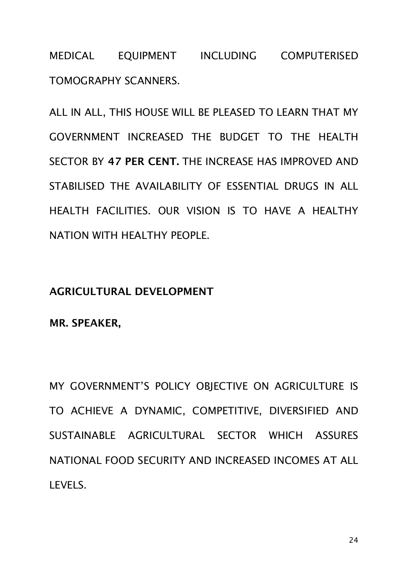MEDICAL EQUIPMENT INCLUDING COMPUTERISED TOMOGRAPHY SCANNERS.

ALL IN ALL, THIS HOUSE WILL BE PLEASED TO LEARN THAT MY GOVERNMENT INCREASED THE BUDGET TO THE HEALTH SECTOR BY **47 PER CENT.** THE INCREASE HAS IMPROVED AND STABILISED THE AVAILABILITY OF ESSENTIAL DRUGS IN ALL HEALTH FACILITIES. OUR VISION IS TO HAVE A HEALTHY NATION WITH HEALTHY PEOPLE.

## **AGRICULTURAL DEVELOPMENT**

**MR. SPEAKER,**

MY GOVERNMENT'S POLICY OBJECTIVE ON AGRICULTURE IS TO ACHIEVE A DYNAMIC, COMPETITIVE, DIVERSIFIED AND SUSTAINABLE AGRICULTURAL SECTOR WHICH ASSURES NATIONAL FOOD SECURITY AND INCREASED INCOMES AT ALL LEVELS.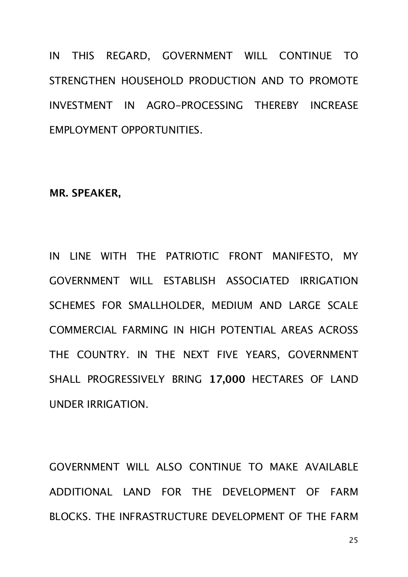IN THIS REGARD, GOVERNMENT WILL CONTINUE TO STRENGTHEN HOUSEHOLD PRODUCTION AND TO PROMOTE INVESTMENT IN AGRO-PROCESSING THEREBY INCREASE EMPLOYMENT OPPORTUNITIES.

## **MR. SPEAKER,**

IN LINE WITH THE PATRIOTIC FRONT MANIFESTO, MY GOVERNMENT WILL ESTABLISH ASSOCIATED IRRIGATION SCHEMES FOR SMALLHOLDER, MEDIUM AND LARGE SCALE COMMERCIAL FARMING IN HIGH POTENTIAL AREAS ACROSS THE COUNTRY. IN THE NEXT FIVE YEARS, GOVERNMENT SHALL PROGRESSIVELY BRING **17,000** HECTARES OF LAND UNDER IRRIGATION.

GOVERNMENT WILL ALSO CONTINUE TO MAKE AVAILABLE ADDITIONAL LAND FOR THE DEVELOPMENT OF FARM BLOCKS. THE INFRASTRUCTURE DEVELOPMENT OF THE FARM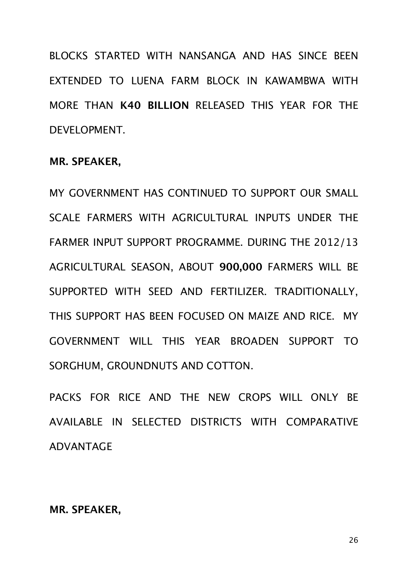BLOCKS STARTED WITH NANSANGA AND HAS SINCE BEEN EXTENDED TO LUENA FARM BLOCK IN KAWAMBWA WITH MORE THAN **K40 BILLION** RELEASED THIS YEAR FOR THE DEVELOPMENT.

## **MR. SPEAKER,**

MY GOVERNMENT HAS CONTINUED TO SUPPORT OUR SMALL SCALE FARMERS WITH AGRICULTURAL INPUTS UNDER THE FARMER INPUT SUPPORT PROGRAMME. DURING THE 2012/13 AGRICULTURAL SEASON, ABOUT **900,000** FARMERS WILL BE SUPPORTED WITH SEED AND FERTILIZER. TRADITIONALLY, THIS SUPPORT HAS BEEN FOCUSED ON MAIZE AND RICE. MY GOVERNMENT WILL THIS YEAR BROADEN SUPPORT TO SORGHUM, GROUNDNUTS AND COTTON.

PACKS FOR RICE AND THE NEW CROPS WILL ONLY BE AVAILABLE IN SELECTED DISTRICTS WITH COMPARATIVE ADVANTAGE

## **MR. SPEAKER,**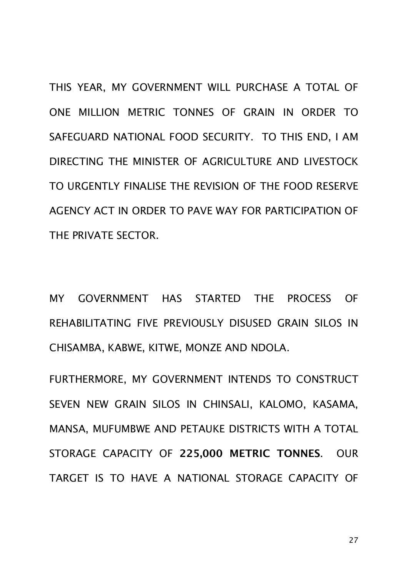THIS YEAR, MY GOVERNMENT WILL PURCHASE A TOTAL OF ONE MILLION METRIC TONNES OF GRAIN IN ORDER TO SAFEGUARD NATIONAL FOOD SECURITY. TO THIS END, I AM DIRECTING THE MINISTER OF AGRICULTURE AND LIVESTOCK TO URGENTLY FINALISE THE REVISION OF THE FOOD RESERVE AGENCY ACT IN ORDER TO PAVE WAY FOR PARTICIPATION OF THE PRIVATE SECTOR.

MY GOVERNMENT HAS STARTED THE PROCESS OF REHABILITATING FIVE PREVIOUSLY DISUSED GRAIN SILOS IN CHISAMBA, KABWE, KITWE, MONZE AND NDOLA.

FURTHERMORE, MY GOVERNMENT INTENDS TO CONSTRUCT SEVEN NEW GRAIN SILOS IN CHINSALI, KALOMO, KASAMA, MANSA, MUFUMBWE AND PETAUKE DISTRICTS WITH A TOTAL STORAGE CAPACITY OF **225,000 METRIC TONNES**. OUR TARGET IS TO HAVE A NATIONAL STORAGE CAPACITY OF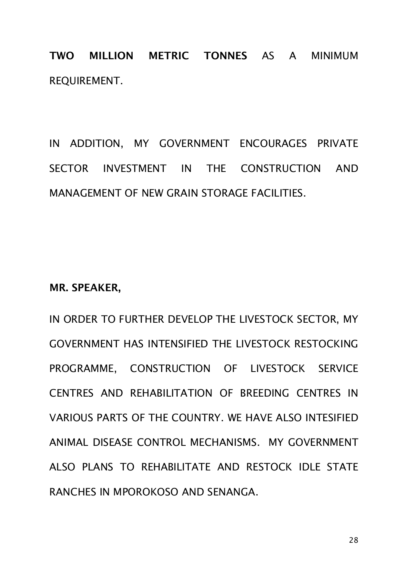**TWO MILLION METRIC TONNES** AS A MINIMUM REQUIREMENT.

IN ADDITION, MY GOVERNMENT ENCOURAGES PRIVATE SECTOR INVESTMENT IN THE CONSTRUCTION AND MANAGEMENT OF NEW GRAIN STORAGE FACILITIES.

## **MR. SPEAKER,**

IN ORDER TO FURTHER DEVELOP THE LIVESTOCK SECTOR, MY GOVERNMENT HAS INTENSIFIED THE LIVESTOCK RESTOCKING PROGRAMME, CONSTRUCTION OF LIVESTOCK SERVICE CENTRES AND REHABILITATION OF BREEDING CENTRES IN VARIOUS PARTS OF THE COUNTRY. WE HAVE ALSO INTESIFIED ANIMAL DISEASE CONTROL MECHANISMS. MY GOVERNMENT ALSO PLANS TO REHABILITATE AND RESTOCK IDLE STATE RANCHES IN MPOROKOSO AND SENANGA.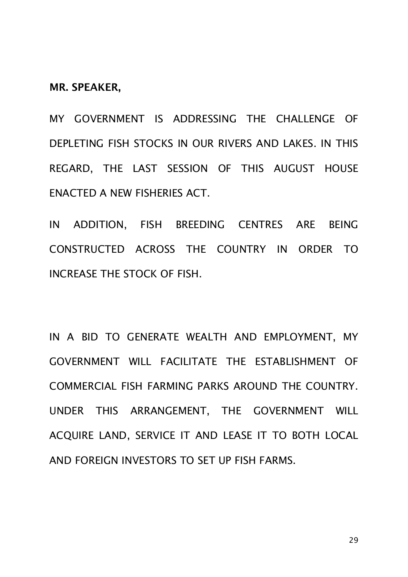**MR. SPEAKER,**

MY GOVERNMENT IS ADDRESSING THE CHALLENGE OF DEPLETING FISH STOCKS IN OUR RIVERS AND LAKES. IN THIS REGARD, THE LAST SESSION OF THIS AUGUST HOUSE ENACTED A NEW FISHERIES ACT.

IN ADDITION, FISH BREEDING CENTRES ARE BEING CONSTRUCTED ACROSS THE COUNTRY IN ORDER TO INCREASE THE STOCK OF FISH.

IN A BID TO GENERATE WEALTH AND EMPLOYMENT, MY GOVERNMENT WILL FACILITATE THE ESTABLISHMENT OF COMMERCIAL FISH FARMING PARKS AROUND THE COUNTRY. UNDER THIS ARRANGEMENT, THE GOVERNMENT WILL ACQUIRE LAND, SERVICE IT AND LEASE IT TO BOTH LOCAL AND FOREIGN INVESTORS TO SET UP FISH FARMS.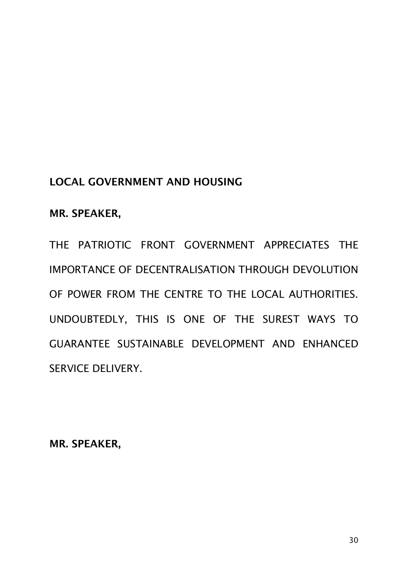## **LOCAL GOVERNMENT AND HOUSING**

## **MR. SPEAKER,**

THE PATRIOTIC FRONT GOVERNMENT APPRECIATES THE IMPORTANCE OF DECENTRALISATION THROUGH DEVOLUTION OF POWER FROM THE CENTRE TO THE LOCAL AUTHORITIES. UNDOUBTEDLY, THIS IS ONE OF THE SUREST WAYS TO GUARANTEE SUSTAINABLE DEVELOPMENT AND ENHANCED SERVICE DELIVERY.

**MR. SPEAKER,**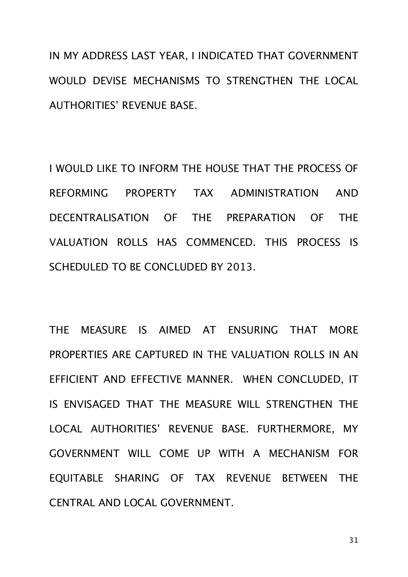IN MY ADDRESS LAST YEAR, I INDICATED THAT GOVERNMENT WOULD DEVISE MECHANISMS TO STRENGTHEN THE LOCAL AUTHORITIES' REVENUE BASE.

I WOULD LIKE TO INFORM THE HOUSE THAT THE PROCESS OF REFORMING PROPERTY TAX ADMINISTRATION AND DECENTRALISATION OF THE PREPARATION OF THE VALUATION ROLLS HAS COMMENCED. THIS PROCESS IS SCHEDULED TO BE CONCLUDED BY 2013.

THE MEASURE IS AIMED AT ENSURING THAT MORE PROPERTIES ARE CAPTURED IN THE VALUATION ROLLS IN AN EFFICIENT AND EFFECTIVE MANNER. WHEN CONCLUDED, IT IS ENVISAGED THAT THE MEASURE WILL STRENGTHEN THE LOCAL AUTHORITIES' REVENUE BASE. FURTHERMORE, MY GOVERNMENT WILL COME UP WITH A MECHANISM FOR EQUITABLE SHARING OF TAX REVENUE BETWEEN THE CENTRAL AND LOCAL GOVERNMENT.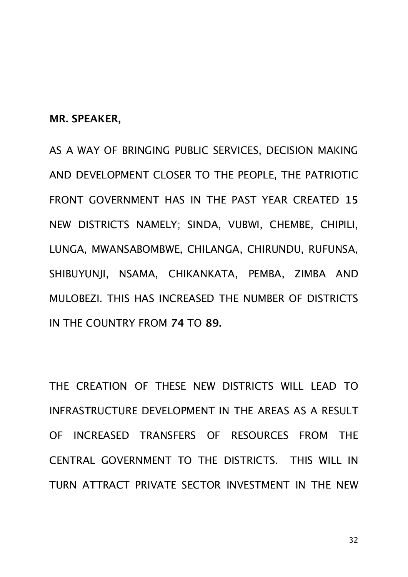**MR. SPEAKER,** 

AS A WAY OF BRINGING PUBLIC SERVICES, DECISION MAKING AND DEVELOPMENT CLOSER TO THE PEOPLE, THE PATRIOTIC FRONT GOVERNMENT HAS IN THE PAST YEAR CREATED **15** NEW DISTRICTS NAMELY; SINDA, VUBWI, CHEMBE, CHIPILI, LUNGA, MWANSABOMBWE, CHILANGA, CHIRUNDU, RUFUNSA, SHIBUYUNJI, NSAMA, CHIKANKATA, PEMBA, ZIMBA AND MULOBEZI. THIS HAS INCREASED THE NUMBER OF DISTRICTS IN THE COUNTRY FROM **74** TO **89.**

THE CREATION OF THESE NEW DISTRICTS WILL LEAD TO INFRASTRUCTURE DEVELOPMENT IN THE AREAS AS A RESULT OF INCREASED TRANSFERS OF RESOURCES FROM THE CENTRAL GOVERNMENT TO THE DISTRICTS. THIS WILL IN TURN ATTRACT PRIVATE SECTOR INVESTMENT IN THE NEW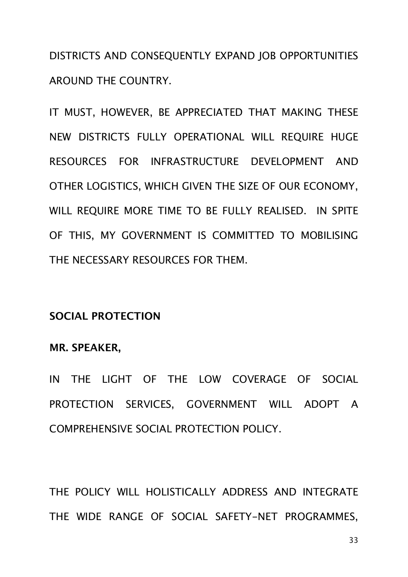DISTRICTS AND CONSEQUENTLY EXPAND JOB OPPORTUNITIES AROUND THE COUNTRY.

IT MUST, HOWEVER, BE APPRECIATED THAT MAKING THESE NEW DISTRICTS FULLY OPERATIONAL WILL REQUIRE HUGE RESOURCES FOR INFRASTRUCTURE DEVELOPMENT AND OTHER LOGISTICS, WHICH GIVEN THE SIZE OF OUR ECONOMY, WILL REQUIRE MORE TIME TO BE FULLY REALISED. IN SPITE OF THIS, MY GOVERNMENT IS COMMITTED TO MOBILISING THE NECESSARY RESOURCES FOR THEM.

## **SOCIAL PROTECTION**

#### **MR. SPEAKER,**

IN THE LIGHT OF THE LOW COVERAGE OF SOCIAL PROTECTION SERVICES, GOVERNMENT WILL ADOPT A COMPREHENSIVE SOCIAL PROTECTION POLICY.

THE POLICY WILL HOLISTICALLY ADDRESS AND INTEGRATE THE WIDE RANGE OF SOCIAL SAFETY-NET PROGRAMMES,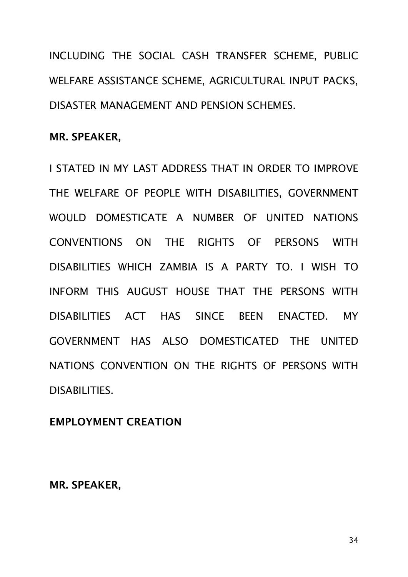INCLUDING THE SOCIAL CASH TRANSFER SCHEME, PUBLIC WELFARE ASSISTANCE SCHEME, AGRICULTURAL INPUT PACKS, DISASTER MANAGEMENT AND PENSION SCHEMES.

## **MR. SPEAKER,**

I STATED IN MY LAST ADDRESS THAT IN ORDER TO IMPROVE THE WELFARE OF PEOPLE WITH DISABILITIES, GOVERNMENT WOULD DOMESTICATE A NUMBER OF UNITED NATIONS CONVENTIONS ON THE RIGHTS OF PERSONS WITH DISABILITIES WHICH ZAMBIA IS A PARTY TO. I WISH TO INFORM THIS AUGUST HOUSE THAT THE PERSONS WITH DISABILITIES ACT HAS SINCE BEEN ENACTED. MY GOVERNMENT HAS ALSO DOMESTICATED THE UNITED NATIONS CONVENTION ON THE RIGHTS OF PERSONS WITH DISABILITIES.

## **EMPLOYMENT CREATION**

**MR. SPEAKER,**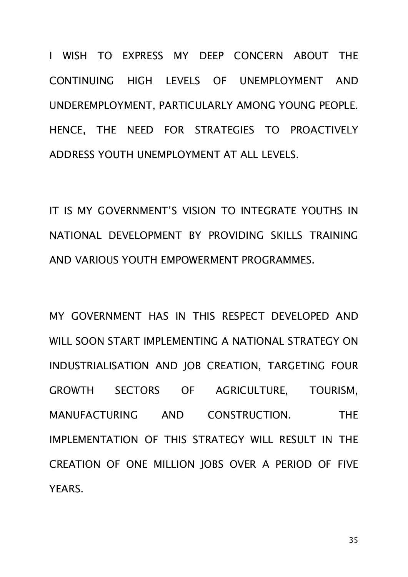I WISH TO EXPRESS MY DEEP CONCERN ABOUT THE CONTINUING HIGH LEVELS OF UNEMPLOYMENT AND UNDEREMPLOYMENT, PARTICULARLY AMONG YOUNG PEOPLE. HENCE, THE NEED FOR STRATEGIES TO PROACTIVELY ADDRESS YOUTH UNEMPLOYMENT AT ALL LEVELS.

IT IS MY GOVERNMENT'S VISION TO INTEGRATE YOUTHS IN NATIONAL DEVELOPMENT BY PROVIDING SKILLS TRAINING AND VARIOUS YOUTH EMPOWERMENT PROGRAMMES.

MY GOVERNMENT HAS IN THIS RESPECT DEVELOPED AND WILL SOON START IMPLEMENTING A NATIONAL STRATEGY ON INDUSTRIALISATION AND JOB CREATION, TARGETING FOUR GROWTH SECTORS OF AGRICULTURE, TOURISM, MANUFACTURING AND CONSTRUCTION. THE IMPLEMENTATION OF THIS STRATEGY WILL RESULT IN THE CREATION OF ONE MILLION JOBS OVER A PERIOD OF FIVE YEARS.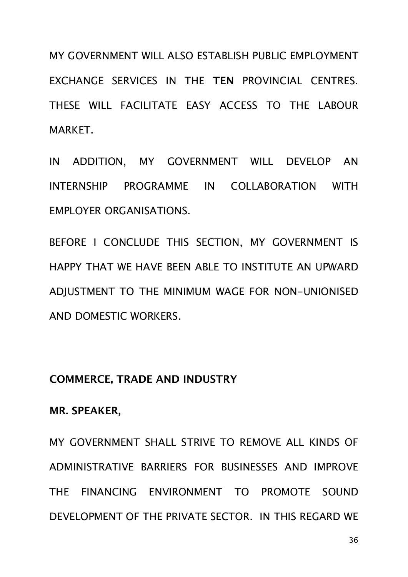MY GOVERNMENT WILL ALSO ESTABLISH PUBLIC EMPLOYMENT EXCHANGE SERVICES IN THE **TEN** PROVINCIAL CENTRES. THESE WILL FACILITATE EASY ACCESS TO THE LABOUR MARKET.

IN ADDITION, MY GOVERNMENT WILL DEVELOP AN INTERNSHIP PROGRAMME IN COLLABORATION WITH EMPLOYER ORGANISATIONS.

BEFORE I CONCLUDE THIS SECTION, MY GOVERNMENT IS HAPPY THAT WE HAVE BEEN ABLE TO INSTITUTE AN UPWARD ADJUSTMENT TO THE MINIMUM WAGE FOR NON-UNIONISED AND DOMESTIC WORKERS.

## **COMMERCE, TRADE AND INDUSTRY**

## **MR. SPEAKER,**

MY GOVERNMENT SHALL STRIVE TO REMOVE ALL KINDS OF ADMINISTRATIVE BARRIERS FOR BUSINESSES AND IMPROVE THE FINANCING ENVIRONMENT TO PROMOTE SOUND DEVELOPMENT OF THE PRIVATE SECTOR. IN THIS REGARD WE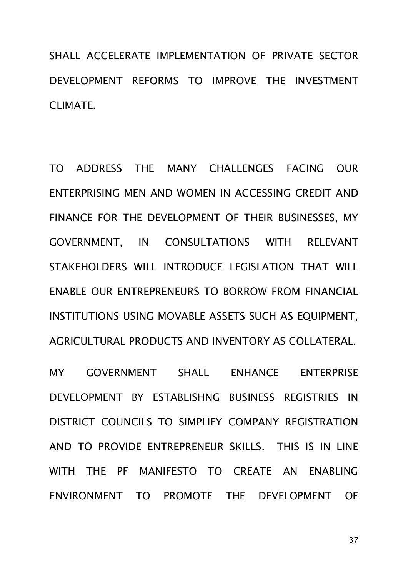SHALL ACCELERATE IMPLEMENTATION OF PRIVATE SECTOR DEVELOPMENT REFORMS TO IMPROVE THE INVESTMENT CLIMATE.

TO ADDRESS THE MANY CHALLENGES FACING OUR ENTERPRISING MEN AND WOMEN IN ACCESSING CREDIT AND FINANCE FOR THE DEVELOPMENT OF THEIR BUSINESSES, MY GOVERNMENT, IN CONSULTATIONS WITH RELEVANT STAKEHOLDERS WILL INTRODUCE LEGISLATION THAT WILL ENABLE OUR ENTREPRENEURS TO BORROW FROM FINANCIAL INSTITUTIONS USING MOVABLE ASSETS SUCH AS EQUIPMENT, AGRICULTURAL PRODUCTS AND INVENTORY AS COLLATERAL.

MY GOVERNMENT SHALL ENHANCE ENTERPRISE DEVELOPMENT BY ESTABLISHNG BUSINESS REGISTRIES IN DISTRICT COUNCILS TO SIMPLIFY COMPANY REGISTRATION AND TO PROVIDE ENTREPRENEUR SKILLS. THIS IS IN LINE WITH THE PF MANIFESTO TO CREATE AN ENABLING ENVIRONMENT TO PROMOTE THE DEVELOPMENT OF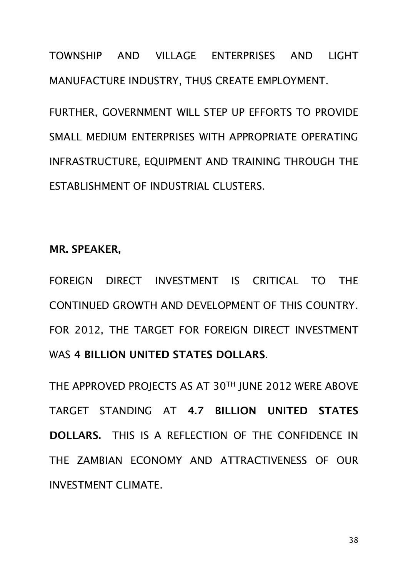TOWNSHIP AND VILLAGE ENTERPRISES AND LIGHT MANUFACTURE INDUSTRY, THUS CREATE EMPLOYMENT.

FURTHER, GOVERNMENT WILL STEP UP EFFORTS TO PROVIDE SMALL MEDIUM ENTERPRISES WITH APPROPRIATE OPERATING INFRASTRUCTURE, EQUIPMENT AND TRAINING THROUGH THE ESTABLISHMENT OF INDUSTRIAL CLUSTERS.

**MR. SPEAKER,**

FOREIGN DIRECT INVESTMENT IS CRITICAL TO THE CONTINUED GROWTH AND DEVELOPMENT OF THIS COUNTRY. FOR 2012, THE TARGET FOR FOREIGN DIRECT INVESTMENT WAS **4 BILLION UNITED STATES DOLLARS**.

THE APPROVED PROJECTS AS AT 30TH JUNE 2012 WERE ABOVE TARGET STANDING AT **4.7 BILLION UNITED STATES DOLLARS.** THIS IS A REFLECTION OF THE CONFIDENCE IN THE ZAMBIAN ECONOMY AND ATTRACTIVENESS OF OUR INVESTMENT CLIMATE.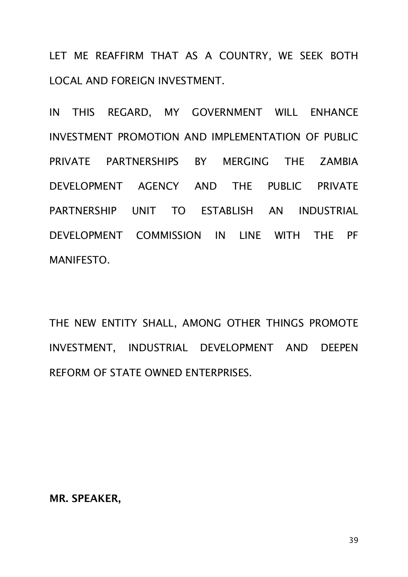LET ME REAFFIRM THAT AS A COUNTRY, WE SEEK BOTH LOCAL AND FOREIGN INVESTMENT.

IN THIS REGARD, MY GOVERNMENT WILL ENHANCE INVESTMENT PROMOTION AND IMPLEMENTATION OF PUBLIC PRIVATE PARTNERSHIPS BY MERGING THE ZAMBIA DEVELOPMENT AGENCY AND THE PUBLIC PRIVATE PARTNERSHIP UNIT TO ESTABLISH AN INDUSTRIAL DEVELOPMENT COMMISSION IN LINE WITH THE PF MANIFESTO.

THE NEW ENTITY SHALL, AMONG OTHER THINGS PROMOTE INVESTMENT, INDUSTRIAL DEVELOPMENT AND DEEPEN REFORM OF STATE OWNED ENTERPRISES.

**MR. SPEAKER,**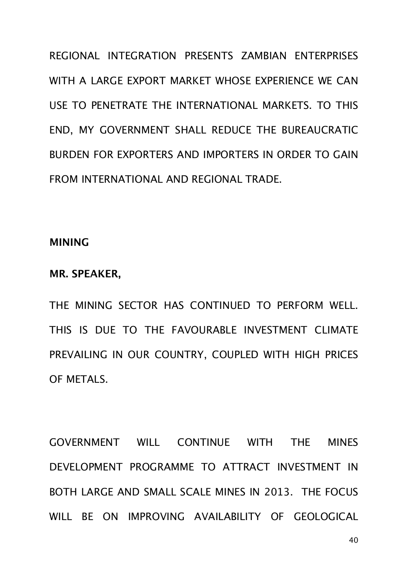REGIONAL INTEGRATION PRESENTS ZAMBIAN ENTERPRISES WITH A LARGE EXPORT MARKET WHOSE EXPERIENCE WE CAN USE TO PENETRATE THE INTERNATIONAL MARKETS. TO THIS END, MY GOVERNMENT SHALL REDUCE THE BUREAUCRATIC BURDEN FOR EXPORTERS AND IMPORTERS IN ORDER TO GAIN FROM INTERNATIONAL AND REGIONAL TRADE.

#### **MINING**

#### **MR. SPEAKER,**

THE MINING SECTOR HAS CONTINUED TO PERFORM WELL. THIS IS DUE TO THE FAVOURABLE INVESTMENT CLIMATE PREVAILING IN OUR COUNTRY, COUPLED WITH HIGH PRICES OF METALS.

GOVERNMENT WILL CONTINUE WITH THE MINES DEVELOPMENT PROGRAMME TO ATTRACT INVESTMENT IN BOTH LARGE AND SMALL SCALE MINES IN 2013. THE FOCUS WILL BE ON IMPROVING AVAILABILITY OF GEOLOGICAL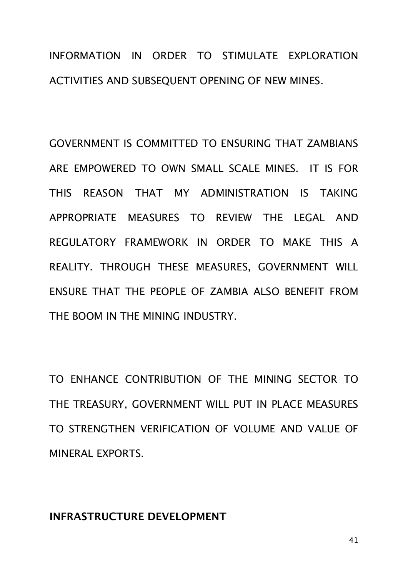## INFORMATION IN ORDER TO STIMULATE EXPLORATION ACTIVITIES AND SUBSEQUENT OPENING OF NEW MINES.

GOVERNMENT IS COMMITTED TO ENSURING THAT ZAMBIANS ARE EMPOWERED TO OWN SMALL SCALE MINES. IT IS FOR THIS REASON THAT MY ADMINISTRATION IS TAKING APPROPRIATE MEASURES TO REVIEW THE LEGAL AND REGULATORY FRAMEWORK IN ORDER TO MAKE THIS A REALITY. THROUGH THESE MEASURES, GOVERNMENT WILL ENSURE THAT THE PEOPLE OF ZAMBIA ALSO BENEFIT FROM THE BOOM IN THE MINING INDUSTRY.

TO ENHANCE CONTRIBUTION OF THE MINING SECTOR TO THE TREASURY, GOVERNMENT WILL PUT IN PLACE MEASURES TO STRENGTHEN VERIFICATION OF VOLUME AND VALUE OF MINERAL EXPORTS.

## **INFRASTRUCTURE DEVELOPMENT**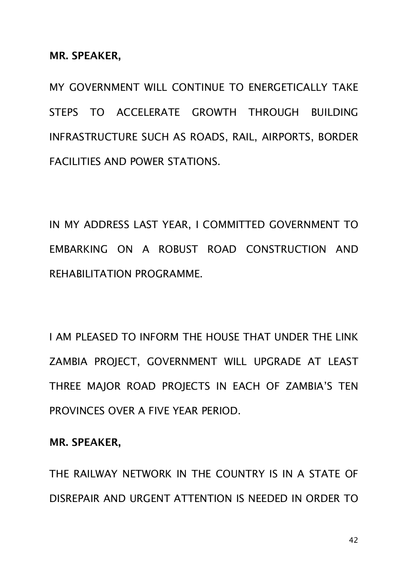**MR. SPEAKER,**

MY GOVERNMENT WILL CONTINUE TO ENERGETICALLY TAKE STEPS TO ACCELERATE GROWTH THROUGH BUILDING INFRASTRUCTURE SUCH AS ROADS, RAIL, AIRPORTS, BORDER FACILITIES AND POWER STATIONS.

IN MY ADDRESS LAST YEAR, I COMMITTED GOVERNMENT TO EMBARKING ON A ROBUST ROAD CONSTRUCTION AND REHABILITATION PROGRAMME.

I AM PLEASED TO INFORM THE HOUSE THAT UNDER THE LINK ZAMBIA PROJECT, GOVERNMENT WILL UPGRADE AT LEAST THREE MAJOR ROAD PROJECTS IN EACH OF ZAMBIA'S TEN PROVINCES OVER A FIVE YEAR PERIOD.

**MR. SPEAKER,** 

THE RAILWAY NETWORK IN THE COUNTRY IS IN A STATE OF DISREPAIR AND URGENT ATTENTION IS NEEDED IN ORDER TO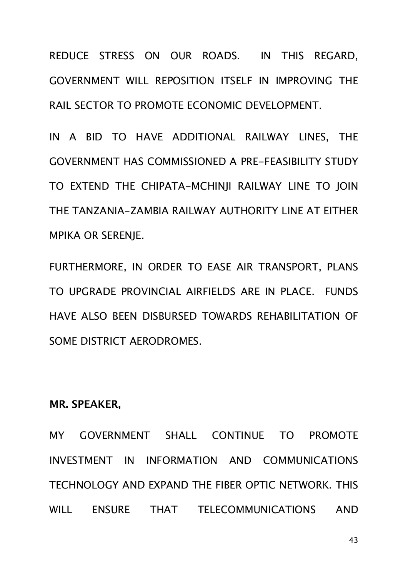REDUCE STRESS ON OUR ROADS. IN THIS REGARD, GOVERNMENT WILL REPOSITION ITSELF IN IMPROVING THE RAIL SECTOR TO PROMOTE ECONOMIC DEVELOPMENT.

IN A BID TO HAVE ADDITIONAL RAILWAY LINES, THE GOVERNMENT HAS COMMISSIONED A PRE-FEASIBILITY STUDY TO EXTEND THE CHIPATA-MCHINJI RAILWAY LINE TO JOIN THE TANZANIA-ZAMBIA RAILWAY AUTHORITY LINE AT EITHER MPIKA OR SERENJE.

FURTHERMORE, IN ORDER TO EASE AIR TRANSPORT, PLANS TO UPGRADE PROVINCIAL AIRFIELDS ARE IN PLACE. FUNDS HAVE ALSO BEEN DISBURSED TOWARDS REHABILITATION OF SOME DISTRICT AERODROMES.

**MR. SPEAKER,**

MY GOVERNMENT SHALL CONTINUE TO PROMOTE INVESTMENT IN INFORMATION AND COMMUNICATIONS TECHNOLOGY AND EXPAND THE FIBER OPTIC NETWORK. THIS WILL ENSURE THAT TELECOMMUNICATIONS AND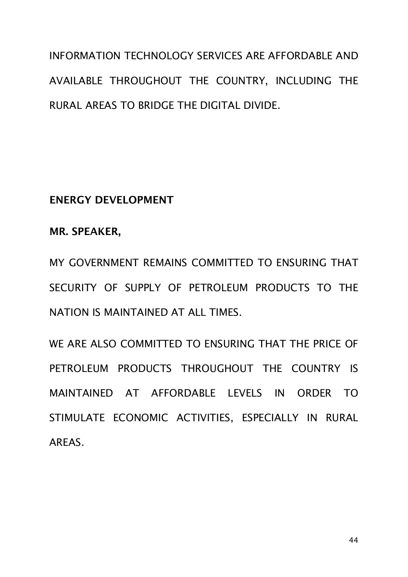INFORMATION TECHNOLOGY SERVICES ARE AFFORDABLE AND AVAILABLE THROUGHOUT THE COUNTRY, INCLUDING THE RURAL AREAS TO BRIDGE THE DIGITAL DIVIDE.

**ENERGY DEVELOPMENT**

**MR. SPEAKER,**

MY GOVERNMENT REMAINS COMMITTED TO ENSURING THAT SECURITY OF SUPPLY OF PETROLEUM PRODUCTS TO THE NATION IS MAINTAINED AT ALL TIMES.

WE ARE ALSO COMMITTED TO ENSURING THAT THE PRICE OF PETROLEUM PRODUCTS THROUGHOUT THE COUNTRY IS MAINTAINED AT AFFORDABLE LEVELS IN ORDER TO STIMULATE ECONOMIC ACTIVITIES, ESPECIALLY IN RURAL AREAS.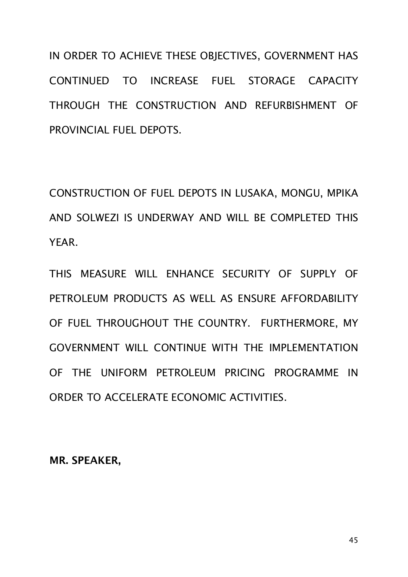IN ORDER TO ACHIEVE THESE OBJECTIVES, GOVERNMENT HAS CONTINUED TO INCREASE FUEL STORAGE CAPACITY THROUGH THE CONSTRUCTION AND REFURBISHMENT OF PROVINCIAL FUEL DEPOTS.

CONSTRUCTION OF FUEL DEPOTS IN LUSAKA, MONGU, MPIKA AND SOLWEZI IS UNDERWAY AND WILL BE COMPLETED THIS YEAR.

THIS MEASURE WILL ENHANCE SECURITY OF SUPPLY OF PETROLEUM PRODUCTS AS WELL AS ENSURE AFFORDABILITY OF FUEL THROUGHOUT THE COUNTRY. FURTHERMORE, MY GOVERNMENT WILL CONTINUE WITH THE IMPLEMENTATION OF THE UNIFORM PETROLEUM PRICING PROGRAMME IN ORDER TO ACCELERATE ECONOMIC ACTIVITIES.

**MR. SPEAKER,**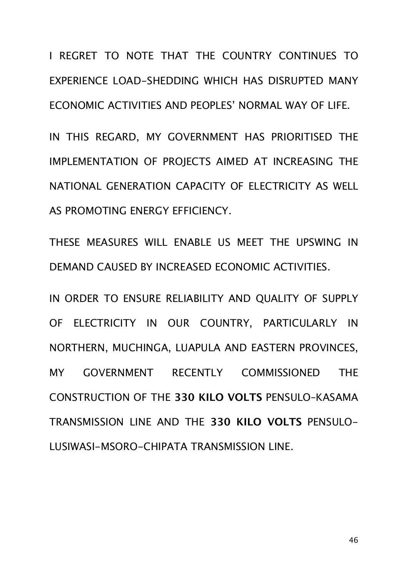I REGRET TO NOTE THAT THE COUNTRY CONTINUES TO EXPERIENCE LOAD-SHEDDING WHICH HAS DISRUPTED MANY ECONOMIC ACTIVITIES AND PEOPLES' NORMAL WAY OF LIFE.

IN THIS REGARD, MY GOVERNMENT HAS PRIORITISED THE IMPLEMENTATION OF PROJECTS AIMED AT INCREASING THE NATIONAL GENERATION CAPACITY OF ELECTRICITY AS WELL AS PROMOTING ENERGY EFFICIENCY.

THESE MEASURES WILL ENABLE US MEET THE UPSWING IN DEMAND CAUSED BY INCREASED ECONOMIC ACTIVITIES.

IN ORDER TO ENSURE RELIABILITY AND QUALITY OF SUPPLY OF ELECTRICITY IN OUR COUNTRY, PARTICULARLY IN NORTHERN, MUCHINGA, LUAPULA AND EASTERN PROVINCES, MY GOVERNMENT RECENTLY COMMISSIONED THE CONSTRUCTION OF THE **330 KILO VOLTS** PENSULO–KASAMA TRANSMISSION LINE AND THE **330 KILO VOLTS** PENSULO-LUSIWASI-MSORO-CHIPATA TRANSMISSION LINE.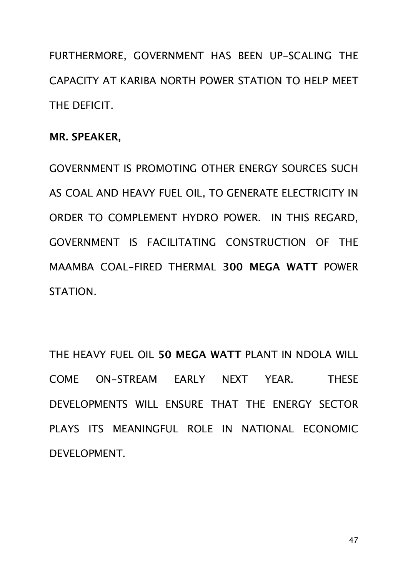FURTHERMORE, GOVERNMENT HAS BEEN UP-SCALING THE CAPACITY AT KARIBA NORTH POWER STATION TO HELP MEET THE DEFICIT.

## **MR. SPEAKER,**

GOVERNMENT IS PROMOTING OTHER ENERGY SOURCES SUCH AS COAL AND HEAVY FUEL OIL, TO GENERATE ELECTRICITY IN ORDER TO COMPLEMENT HYDRO POWER. IN THIS REGARD, GOVERNMENT IS FACILITATING CONSTRUCTION OF THE MAAMBA COAL-FIRED THERMAL **300 MEGA WATT** POWER STATION.

THE HEAVY FUEL OIL **50 MEGA WATT** PLANT IN NDOLA WILL COME ON-STREAM EARLY NEXT YEAR. THESE DEVELOPMENTS WILL ENSURE THAT THE ENERGY SECTOR PLAYS ITS MEANINGFUL ROLE IN NATIONAL ECONOMIC DEVELOPMENT.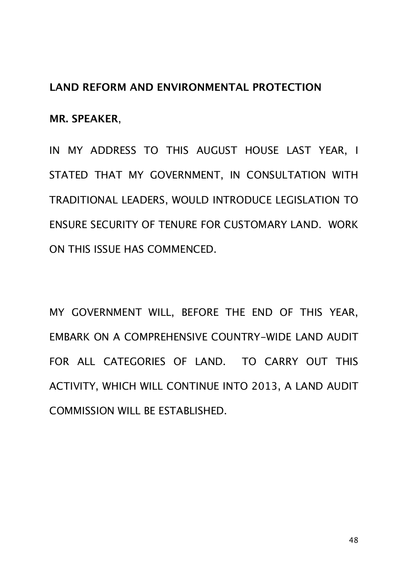## **LAND REFORM AND ENVIRONMENTAL PROTECTION**

**MR. SPEAKER**,

IN MY ADDRESS TO THIS AUGUST HOUSE LAST YEAR, I STATED THAT MY GOVERNMENT, IN CONSULTATION WITH TRADITIONAL LEADERS, WOULD INTRODUCE LEGISLATION TO ENSURE SECURITY OF TENURE FOR CUSTOMARY LAND. WORK ON THIS ISSUE HAS COMMENCED.

MY GOVERNMENT WILL, BEFORE THE END OF THIS YEAR, EMBARK ON A COMPREHENSIVE COUNTRY-WIDE LAND AUDIT FOR ALL CATEGORIES OF LAND. TO CARRY OUT THIS ACTIVITY, WHICH WILL CONTINUE INTO 2013, A LAND AUDIT COMMISSION WILL BE ESTABLISHED.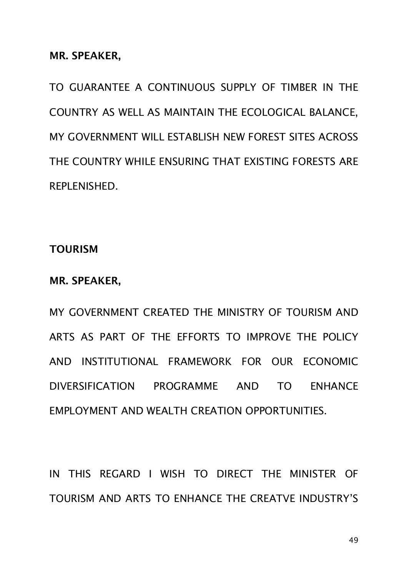**MR. SPEAKER,**

TO GUARANTEE A CONTINUOUS SUPPLY OF TIMBER IN THE COUNTRY AS WELL AS MAINTAIN THE ECOLOGICAL BALANCE, MY GOVERNMENT WILL ESTABLISH NEW FOREST SITES ACROSS THE COUNTRY WHILE ENSURING THAT EXISTING FORESTS ARE REPLENISHED.

**TOURISM** 

**MR. SPEAKER,**

MY GOVERNMENT CREATED THE MINISTRY OF TOURISM AND ARTS AS PART OF THE EFFORTS TO IMPROVE THE POLICY AND INSTITUTIONAL FRAMEWORK FOR OUR ECONOMIC DIVERSIFICATION PROGRAMME AND TO ENHANCE EMPLOYMENT AND WEALTH CREATION OPPORTUNITIES.

IN THIS REGARD I WISH TO DIRECT THE MINISTER OF TOURISM AND ARTS TO ENHANCE THE CREATVE INDUSTRY'S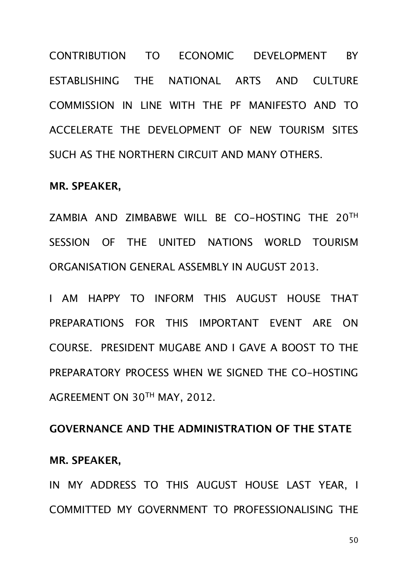CONTRIBUTION TO ECONOMIC DEVELOPMENT BY ESTABLISHING THE NATIONAL ARTS AND CULTURE COMMISSION IN LINE WITH THE PF MANIFESTO AND TO ACCELERATE THE DEVELOPMENT OF NEW TOURISM SITES SUCH AS THE NORTHERN CIRCUIT AND MANY OTHERS.

#### **MR. SPEAKER,**

ZAMBIA AND ZIMBABWE WILL BE CO-HOSTING THE 20TH SESSION OF THE UNITED NATIONS WORLD TOURISM ORGANISATION GENERAL ASSEMBLY IN AUGUST 2013.

I AM HAPPY TO INFORM THIS AUGUST HOUSE THAT PREPARATIONS FOR THIS IMPORTANT EVENT ARE ON COURSE. PRESIDENT MUGABE AND I GAVE A BOOST TO THE PREPARATORY PROCESS WHEN WE SIGNED THE CO-HOSTING AGREEMENT ON 30TH MAY, 2012.

# **GOVERNANCE AND THE ADMINISTRATION OF THE STATE MR. SPEAKER,**

IN MY ADDRESS TO THIS AUGUST HOUSE LAST YEAR, I COMMITTED MY GOVERNMENT TO PROFESSIONALISING THE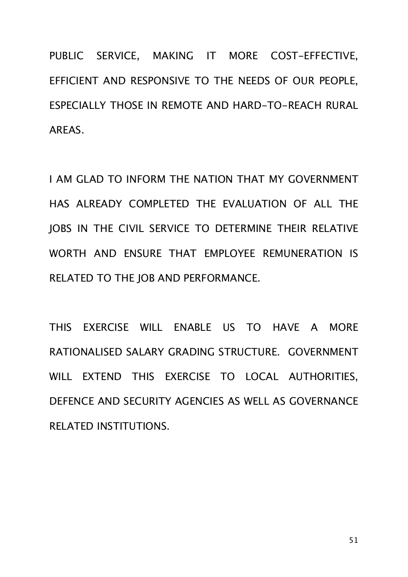PUBLIC SERVICE, MAKING IT MORE COST-EFFECTIVE, EFFICIENT AND RESPONSIVE TO THE NEEDS OF OUR PEOPLE, ESPECIALLY THOSE IN REMOTE AND HARD-TO-REACH RURAL AREAS.

I AM GLAD TO INFORM THE NATION THAT MY GOVERNMENT HAS ALREADY COMPLETED THE EVALUATION OF ALL THE JOBS IN THE CIVIL SERVICE TO DETERMINE THEIR RELATIVE WORTH AND ENSURE THAT EMPLOYEE REMUNERATION IS RELATED TO THE JOB AND PERFORMANCE.

THIS EXERCISE WILL ENABLE US TO HAVE A MORE RATIONALISED SALARY GRADING STRUCTURE. GOVERNMENT WILL EXTEND THIS EXERCISE TO LOCAL AUTHORITIES, DEFENCE AND SECURITY AGENCIES AS WELL AS GOVERNANCE RELATED INSTITUTIONS.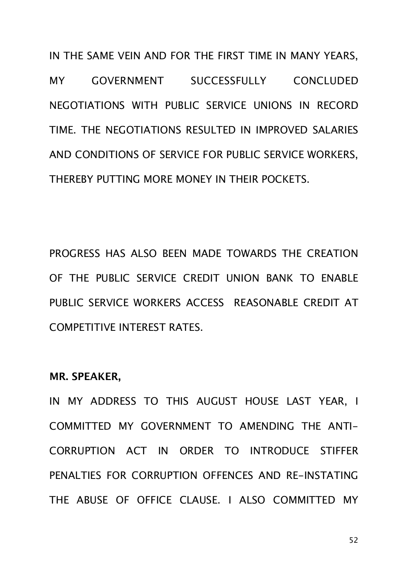IN THE SAME VEIN AND FOR THE FIRST TIME IN MANY YEARS, MY GOVERNMENT SUCCESSFULLY CONCLUDED NEGOTIATIONS WITH PUBLIC SERVICE UNIONS IN RECORD TIME. THE NEGOTIATIONS RESULTED IN IMPROVED SALARIES AND CONDITIONS OF SERVICE FOR PUBLIC SERVICE WORKERS, THEREBY PUTTING MORE MONEY IN THEIR POCKETS.

PROGRESS HAS ALSO BEEN MADE TOWARDS THE CREATION OF THE PUBLIC SERVICE CREDIT UNION BANK TO ENABLE PUBLIC SERVICE WORKERS ACCESS REASONABLE CREDIT AT COMPETITIVE INTEREST RATES.

#### **MR. SPEAKER,**

IN MY ADDRESS TO THIS AUGUST HOUSE LAST YEAR, I COMMITTED MY GOVERNMENT TO AMENDING THE ANTI-CORRUPTION ACT IN ORDER TO INTRODUCE STIFFER PENALTIES FOR CORRUPTION OFFENCES AND RE-INSTATING THE ABUSE OF OFFICE CLAUSE. I ALSO COMMITTED MY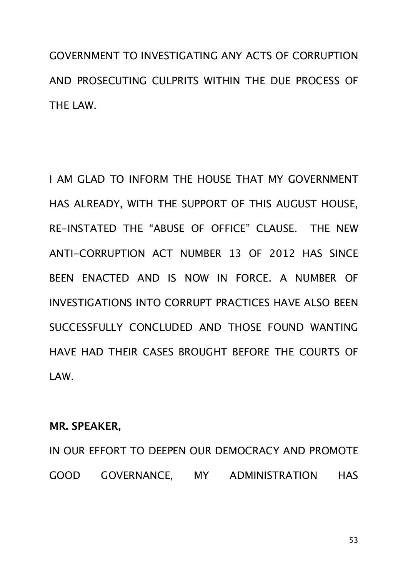GOVERNMENT TO INVESTIGATING ANY ACTS OF CORRUPTION AND PROSECUTING CULPRITS WITHIN THE DUE PROCESS OF THE LAW.

I AM GLAD TO INFORM THE HOUSE THAT MY GOVERNMENT HAS ALREADY, WITH THE SUPPORT OF THIS AUGUST HOUSE, RE-INSTATED THE "ABUSE OF OFFICE" CLAUSE. THE NEW ANTI-CORRUPTION ACT NUMBER 13 OF 2012 HAS SINCE BEEN ENACTED AND IS NOW IN FORCE. A NUMBER OF INVESTIGATIONS INTO CORRUPT PRACTICES HAVE ALSO BEEN SUCCESSFULLY CONCLUDED AND THOSE FOUND WANTING HAVE HAD THEIR CASES BROUGHT BEFORE THE COURTS OF LAW.

## **MR. SPEAKER,**

IN OUR EFFORT TO DEEPEN OUR DEMOCRACY AND PROMOTE GOOD GOVERNANCE, MY ADMINISTRATION HAS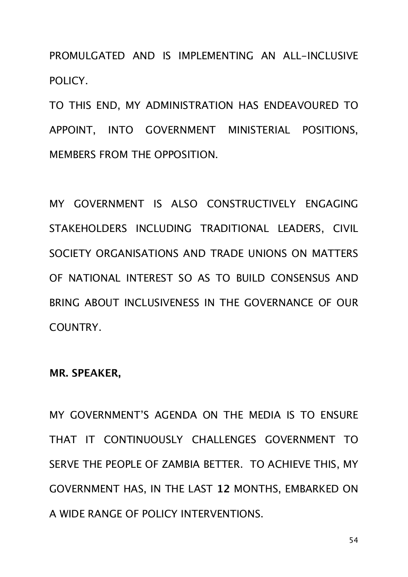PROMULGATED AND IS IMPLEMENTING AN ALL-INCLUSIVE POLICY.

TO THIS END, MY ADMINISTRATION HAS ENDEAVOURED TO APPOINT, INTO GOVERNMENT MINISTERIAL POSITIONS, MEMBERS FROM THE OPPOSITION.

MY GOVERNMENT IS ALSO CONSTRUCTIVELY ENGAGING STAKEHOLDERS INCLUDING TRADITIONAL LEADERS, CIVIL SOCIETY ORGANISATIONS AND TRADE UNIONS ON MATTERS OF NATIONAL INTEREST SO AS TO BUILD CONSENSUS AND BRING ABOUT INCLUSIVENESS IN THE GOVERNANCE OF OUR COUNTRY.

#### **MR. SPEAKER,**

MY GOVERNMENT'S AGENDA ON THE MEDIA IS TO ENSURE THAT IT CONTINUOUSLY CHALLENGES GOVERNMENT TO SERVE THE PEOPLE OF ZAMBIA BETTER. TO ACHIEVE THIS, MY GOVERNMENT HAS, IN THE LAST **12** MONTHS, EMBARKED ON A WIDE RANGE OF POLICY INTERVENTIONS.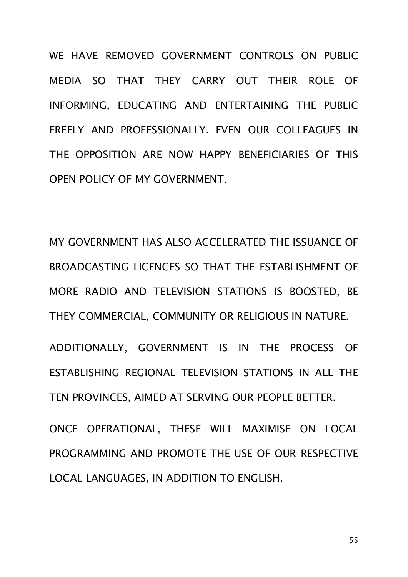WE HAVE REMOVED GOVERNMENT CONTROLS ON PUBLIC MEDIA SO THAT THEY CARRY OUT THEIR ROLE OF INFORMING, EDUCATING AND ENTERTAINING THE PUBLIC FREELY AND PROFESSIONALLY. EVEN OUR COLLEAGUES IN THE OPPOSITION ARE NOW HAPPY BENEFICIARIES OF THIS OPEN POLICY OF MY GOVERNMENT.

MY GOVERNMENT HAS ALSO ACCELERATED THE ISSUANCE OF BROADCASTING LICENCES SO THAT THE ESTABLISHMENT OF MORE RADIO AND TELEVISION STATIONS IS BOOSTED, BE THEY COMMERCIAL, COMMUNITY OR RELIGIOUS IN NATURE.

ADDITIONALLY, GOVERNMENT IS IN THE PROCESS OF ESTABLISHING REGIONAL TELEVISION STATIONS IN ALL THE TEN PROVINCES, AIMED AT SERVING OUR PEOPLE BETTER.

ONCE OPERATIONAL, THESE WILL MAXIMISE ON LOCAL PROGRAMMING AND PROMOTE THE USE OF OUR RESPECTIVE LOCAL LANGUAGES, IN ADDITION TO ENGLISH.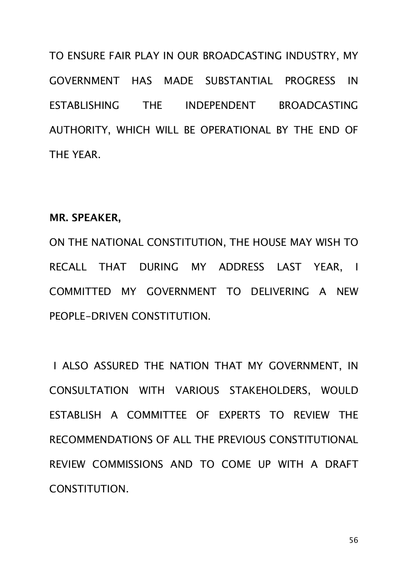TO ENSURE FAIR PLAY IN OUR BROADCASTING INDUSTRY, MY GOVERNMENT HAS MADE SUBSTANTIAL PROGRESS IN ESTABLISHING THE INDEPENDENT BROADCASTING AUTHORITY, WHICH WILL BE OPERATIONAL BY THE END OF THE YEAR.

## **MR. SPEAKER,**

ON THE NATIONAL CONSTITUTION, THE HOUSE MAY WISH TO RECALL THAT DURING MY ADDRESS LAST YEAR, I COMMITTED MY GOVERNMENT TO DELIVERING A NEW PEOPLE-DRIVEN CONSTITUTION.

 I ALSO ASSURED THE NATION THAT MY GOVERNMENT, IN CONSULTATION WITH VARIOUS STAKEHOLDERS, WOULD ESTABLISH A COMMITTEE OF EXPERTS TO REVIEW THE RECOMMENDATIONS OF ALL THE PREVIOUS CONSTITUTIONAL REVIEW COMMISSIONS AND TO COME UP WITH A DRAFT CONSTITUTION.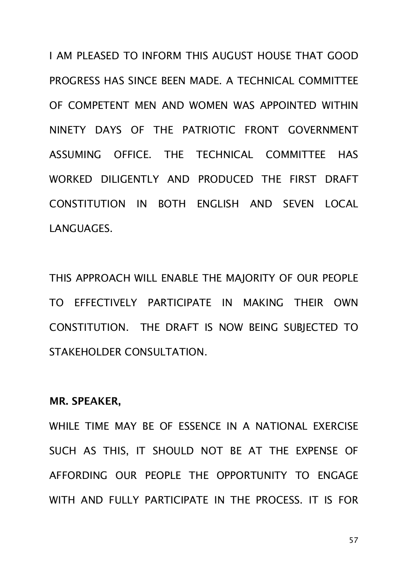I AM PLEASED TO INFORM THIS AUGUST HOUSE THAT GOOD PROGRESS HAS SINCE BEEN MADE. A TECHNICAL COMMITTEE OF COMPETENT MEN AND WOMEN WAS APPOINTED WITHIN NINETY DAYS OF THE PATRIOTIC FRONT GOVERNMENT ASSUMING OFFICE. THE TECHNICAL COMMITTEE HAS WORKED DILIGENTLY AND PRODUCED THE FIRST DRAFT CONSTITUTION IN BOTH ENGLISH AND SEVEN LOCAL LANGUAGES.

THIS APPROACH WILL ENABLE THE MAJORITY OF OUR PEOPLE TO EFFECTIVELY PARTICIPATE IN MAKING THEIR OWN CONSTITUTION. THE DRAFT IS NOW BEING SUBJECTED TO STAKEHOLDER CONSULTATION.

## **MR. SPEAKER,**

WHILE TIME MAY RE OF ESSENCE IN A NATIONAL EXERCISE SUCH AS THIS, IT SHOULD NOT BE AT THE EXPENSE OF AFFORDING OUR PEOPLE THE OPPORTUNITY TO ENGAGE WITH AND FULLY PARTICIPATE IN THE PROCESS. IT IS FOR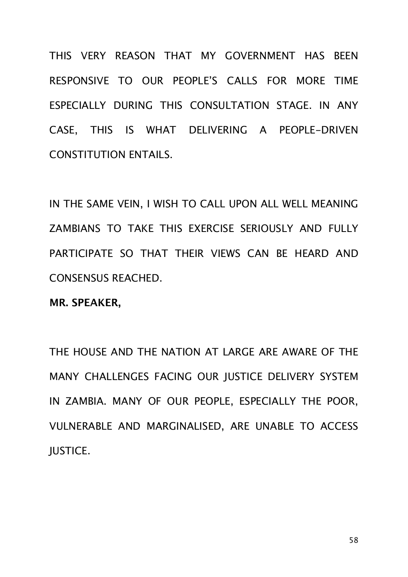THIS VERY REASON THAT MY GOVERNMENT HAS BEEN RESPONSIVE TO OUR PEOPLE'S CALLS FOR MORE TIME ESPECIALLY DURING THIS CONSULTATION STAGE. IN ANY CASE, THIS IS WHAT DELIVERING A PEOPLE-DRIVEN CONSTITUTION ENTAILS.

IN THE SAME VEIN, I WISH TO CALL UPON ALL WELL MEANING ZAMBIANS TO TAKE THIS EXERCISE SERIOUSLY AND FULLY PARTICIPATE SO THAT THEIR VIEWS CAN BE HEARD AND CONSENSUS REACHED.

**MR. SPEAKER,** 

THE HOUSE AND THE NATION AT LARGE ARE AWARE OF THE MANY CHALLENGES FACING OUR JUSTICE DELIVERY SYSTEM IN ZAMBIA. MANY OF OUR PEOPLE, ESPECIALLY THE POOR, VULNERABLE AND MARGINALISED, ARE UNABLE TO ACCESS JUSTICE.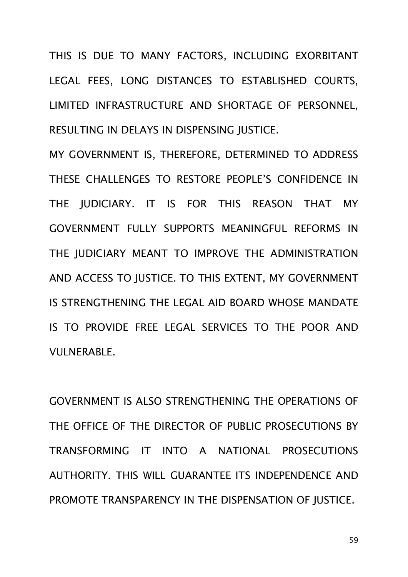THIS IS DUE TO MANY FACTORS, INCLUDING EXORBITANT LEGAL FEES, LONG DISTANCES TO ESTABLISHED COURTS, LIMITED INFRASTRUCTURE AND SHORTAGE OF PERSONNEL, RESULTING IN DELAYS IN DISPENSING JUSTICE.

MY GOVERNMENT IS, THEREFORE, DETERMINED TO ADDRESS THESE CHALLENGES TO RESTORE PEOPLE'S CONFIDENCE IN THE JUDICIARY. IT IS FOR THIS REASON THAT MY GOVERNMENT FULLY SUPPORTS MEANINGFUL REFORMS IN THE JUDICIARY MEANT TO IMPROVE THE ADMINISTRATION AND ACCESS TO JUSTICE. TO THIS EXTENT, MY GOVERNMENT IS STRENGTHENING THE LEGAL AID BOARD WHOSE MANDATE IS TO PROVIDE FREE LEGAL SERVICES TO THE POOR AND VULNERABLE.

GOVERNMENT IS ALSO STRENGTHENING THE OPERATIONS OF THE OFFICE OF THE DIRECTOR OF PUBLIC PROSECUTIONS BY TRANSFORMING IT INTO A NATIONAL PROSECUTIONS AUTHORITY. THIS WILL GUARANTEE ITS INDEPENDENCE AND PROMOTE TRANSPARENCY IN THE DISPENSATION OF JUSTICE.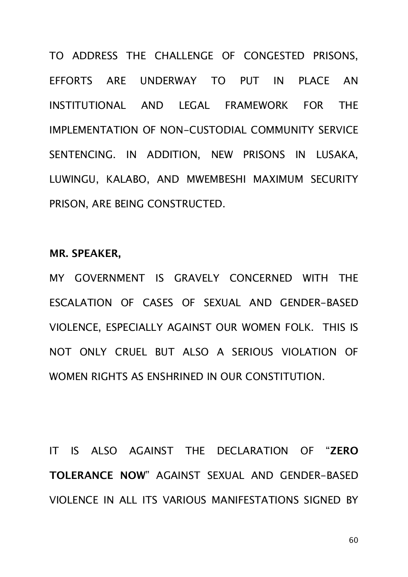TO ADDRESS THE CHALLENGE OF CONGESTED PRISONS, EFFORTS ARE UNDERWAY TO PUT IN PLACE AN INSTITUTIONAL AND LEGAL FRAMEWORK FOR THE IMPLEMENTATION OF NON-CUSTODIAL COMMUNITY SERVICE SENTENCING. IN ADDITION, NEW PRISONS IN LUSAKA, LUWINGU, KALABO, AND MWEMBESHI MAXIMUM SECURITY PRISON, ARE BEING CONSTRUCTED.

#### **MR. SPEAKER,**

MY GOVERNMENT IS GRAVELY CONCERNED WITH THE ESCALATION OF CASES OF SEXUAL AND GENDER-BASED VIOLENCE, ESPECIALLY AGAINST OUR WOMEN FOLK. THIS IS NOT ONLY CRUEL BUT ALSO A SERIOUS VIOLATION OF WOMEN RIGHTS AS ENSHRINED IN OUR CONSTITUTION.

IT IS ALSO AGAINST THE DECLARATION OF "**ZERO TOLERANCE NOW**" AGAINST SEXUAL AND GENDER-BASED VIOLENCE IN ALL ITS VARIOUS MANIFESTATIONS SIGNED BY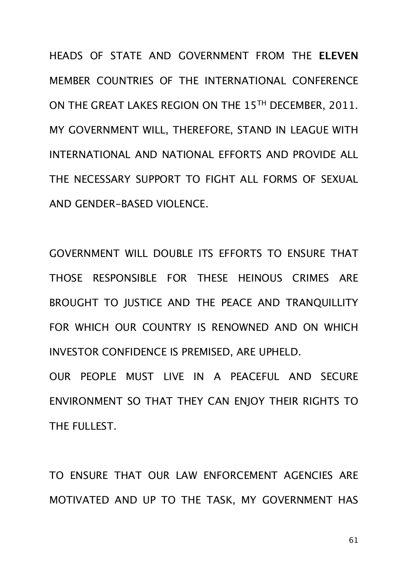HEADS OF STATE AND GOVERNMENT FROM THE **ELEVEN** MEMBER COUNTRIES OF THE INTERNATIONAL CONFERENCE ON THE GREAT LAKES REGION ON THE 15TH DECEMBER, 2011. MY GOVERNMENT WILL, THEREFORE, STAND IN LEAGUE WITH INTERNATIONAL AND NATIONAL EFFORTS AND PROVIDE ALL THE NECESSARY SUPPORT TO FIGHT ALL FORMS OF SEXUAL AND GENDER-BASED VIOLENCE.

GOVERNMENT WILL DOUBLE ITS EFFORTS TO ENSURE THAT THOSE RESPONSIBLE FOR THESE HEINOUS CRIMES ARE BROUGHT TO JUSTICE AND THE PEACE AND TRANQUILLITY FOR WHICH OUR COUNTRY IS RENOWNED AND ON WHICH INVESTOR CONFIDENCE IS PREMISED, ARE UPHELD.

OUR PEOPLE MUST LIVE IN A PEACEFUL AND SECURE ENVIRONMENT SO THAT THEY CAN ENJOY THEIR RIGHTS TO THE FULLEST.

TO ENSURE THAT OUR LAW ENFORCEMENT AGENCIES ARE MOTIVATED AND UP TO THE TASK, MY GOVERNMENT HAS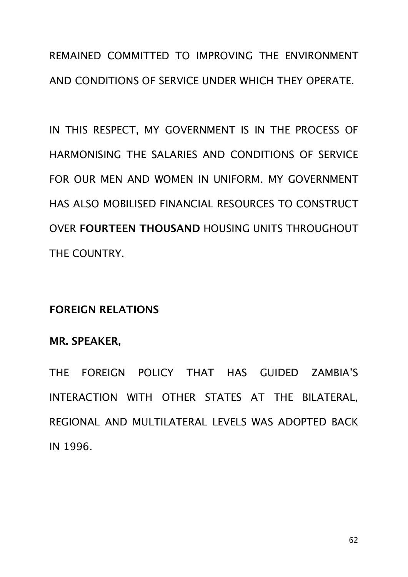REMAINED COMMITTED TO IMPROVING THE ENVIRONMENT AND CONDITIONS OF SERVICE UNDER WHICH THEY OPERATE.

IN THIS RESPECT, MY GOVERNMENT IS IN THE PROCESS OF HARMONISING THE SALARIES AND CONDITIONS OF SERVICE FOR OUR MEN AND WOMEN IN UNIFORM. MY GOVERNMENT HAS ALSO MOBILISED FINANCIAL RESOURCES TO CONSTRUCT OVER **FOURTEEN THOUSAND** HOUSING UNITS THROUGHOUT THE COUNTRY.

## **FOREIGN RELATIONS**

## **MR. SPEAKER,**

THE FOREIGN POLICY THAT HAS GUIDED ZAMBIA'S INTERACTION WITH OTHER STATES AT THE BILATERAL, REGIONAL AND MULTILATERAL LEVELS WAS ADOPTED BACK IN 1996.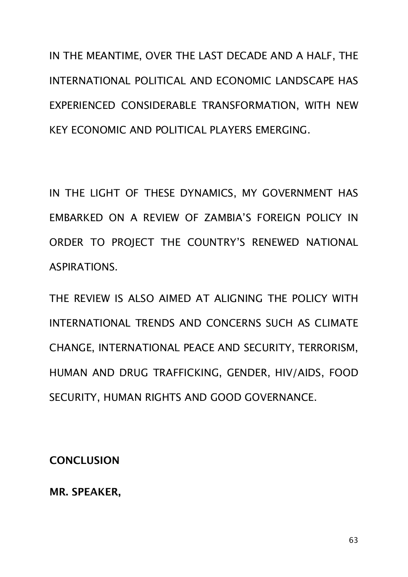IN THE MEANTIME, OVER THE LAST DECADE AND A HALF, THE INTERNATIONAL POLITICAL AND ECONOMIC LANDSCAPE HAS EXPERIENCED CONSIDERABLE TRANSFORMATION, WITH NEW KEY ECONOMIC AND POLITICAL PLAYERS EMERGING.

IN THE LIGHT OF THESE DYNAMICS, MY GOVERNMENT HAS EMBARKED ON A REVIEW OF ZAMBIA'S FOREIGN POLICY IN ORDER TO PROJECT THE COUNTRY'S RENEWED NATIONAL ASPIRATIONS.

THE REVIEW IS ALSO AIMED AT ALIGNING THE POLICY WITH INTERNATIONAL TRENDS AND CONCERNS SUCH AS CLIMATE CHANGE, INTERNATIONAL PEACE AND SECURITY, TERRORISM, HUMAN AND DRUG TRAFFICKING, GENDER, HIV/AIDS, FOOD SECURITY, HUMAN RIGHTS AND GOOD GOVERNANCE.

**CONCLUSION**

**MR. SPEAKER,**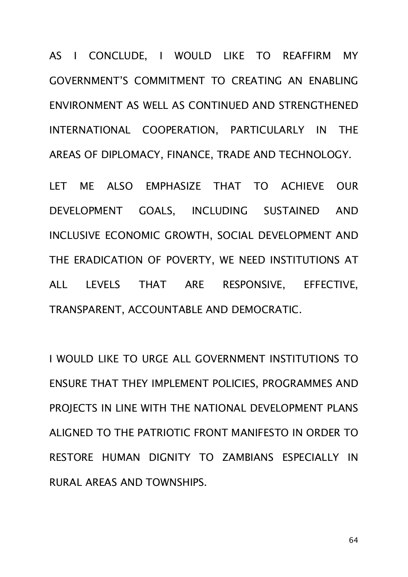AS I CONCLUDE, I WOULD LIKE TO REAFFIRM MY GOVERNMENT'S COMMITMENT TO CREATING AN ENABLING ENVIRONMENT AS WELL AS CONTINUED AND STRENGTHENED INTERNATIONAL COOPERATION, PARTICULARLY IN THE AREAS OF DIPLOMACY, FINANCE, TRADE AND TECHNOLOGY.

LET ME ALSO EMPHASIZE THAT TO ACHIEVE OUR DEVELOPMENT GOALS, INCLUDING SUSTAINED AND INCLUSIVE ECONOMIC GROWTH, SOCIAL DEVELOPMENT AND THE ERADICATION OF POVERTY, WE NEED INSTITUTIONS AT ALL LEVELS THAT ARE RESPONSIVE, EFFECTIVE, TRANSPARENT, ACCOUNTABLE AND DEMOCRATIC.

I WOULD LIKE TO URGE ALL GOVERNMENT INSTITUTIONS TO ENSURE THAT THEY IMPLEMENT POLICIES, PROGRAMMES AND PROJECTS IN LINE WITH THE NATIONAL DEVELOPMENT PLANS ALIGNED TO THE PATRIOTIC FRONT MANIFESTO IN ORDER TO RESTORE HUMAN DIGNITY TO ZAMBIANS ESPECIALLY IN RURAL AREAS AND TOWNSHIPS.